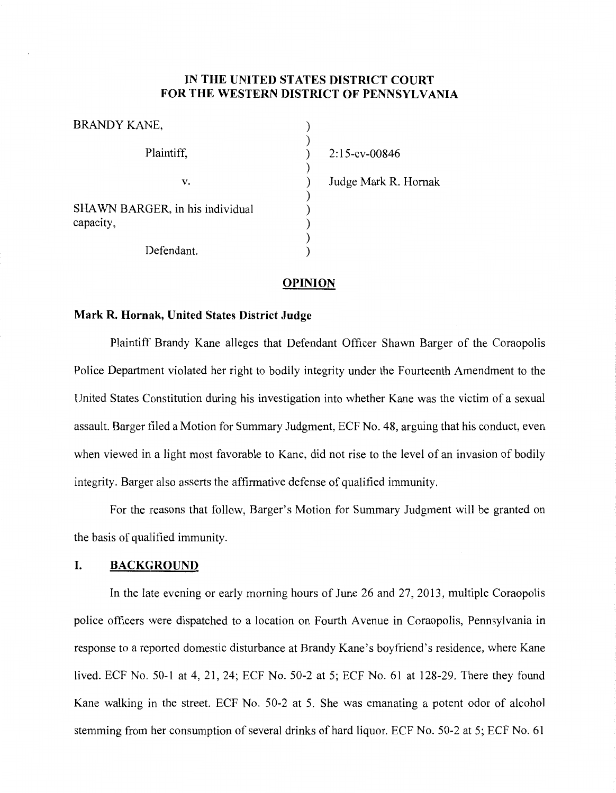### **IN THE UNITED STATES DISTRICT COURT FOR THE WESTERN DISTRICT OF PENNSYLVANIA**

) )

)<br>)

) ) ) ) )

| BRANDY KANE,                                 |
|----------------------------------------------|
| Plaintiff,                                   |
| V.                                           |
| SHAWN BARGER, in his individual<br>capacity, |
| Defendant.                                   |

) 2: 15-cv-00846 ) Judge Mark R. Hornak

#### **OPINION**

### **Mark R. Hornak, United States District Judge**

Plaintiff Brandy Kane alleges that Defendant Officer Shawn Barger of the Coraopolis Police Department violated her right to bodily integrity under the Fourteenth Amendment to the United States Constitution during his investigation into whether Kane was the victim of a sexual assault. Barger filed a Motion for Summary Judgment, ECF No. 48, arguing that his conduct, even when viewed in a light most favorable to Kane, did not rise to the level of an invasion of bodily integrity. Barger also asserts the affirmative defense of qualified immunity.

For the reasons that follow, Barger's Motion for Summary Judgment will be granted on the basis of qualified immunity.

### **I. BACKGROUND**

In the late evening or early morning hours of June 26 and 27, 2013, multiple Coraopolis police officers were dispatched to a location on Fourth A venue in Coraopolis, Pennsylvania in response to a reported domestic disturbance at Brandy Kane's boyfriend's residence, where Kane lived. ECF No. 50-1 at 4, 21, 24; ECF No. 50-2 at 5; ECF No. 61 at 128-29. There they found Kane walking in the street. ECF No. 50-2 at 5. She was emanating a potent odor of alcohol stemming from her consumption of several drinks of hard liquor. ECF No. 50-2 at 5; ECF No. 61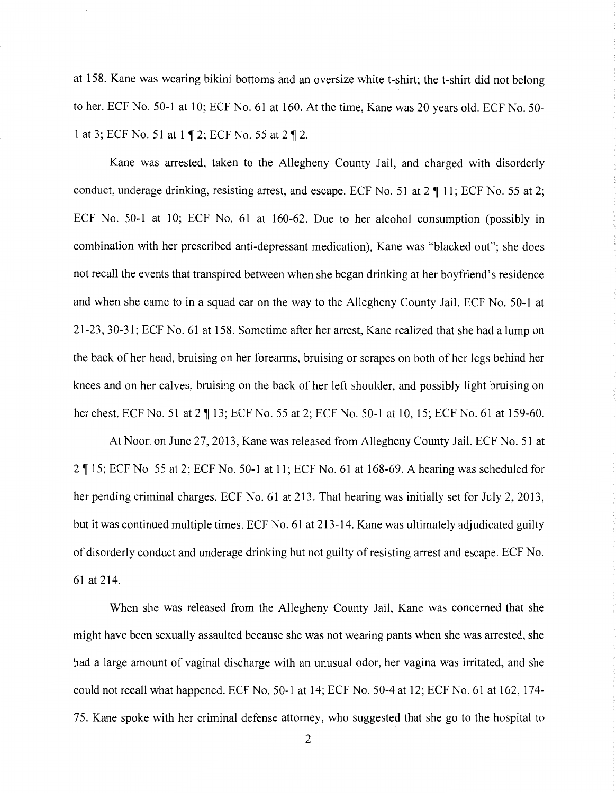at 158. Kane was wearing bikini bottoms and an oversize white t-shirt; the t-shirt did not belong to her. ECF No. 50-1 at 10; ECF No. 61 at 160. At the time, Kane was 20 years old. ECF No. 50-1 at 3; ECF No. 51 at 1 ¶ 2; ECF No. 55 at 2 ¶ 2.

Kane was arrested, taken to the Allegheny County Jail, and charged with disorderly conduct, underage drinking, resisting arrest, and escape. ECF No. 51 at  $2 \text{ } \text{T}$  11; ECF No. 55 at 2; ECF No. 50-1 at 10; ECF No. 61 at 160-62. Due to her alcohol consumption (possibly in combination with her prescribed anti-depressant medication), Kane was "blacked out"; she does not recall the events that transpired between when she began drinking at her boyfriend's residence and when she came to in a squad car on the way to the Allegheny County Jail. ECF No. 50-1 at 21-23, 30-31; ECF No. 61at158. Sometime after her arrest, Kane realized that she had a lump on the back of her head, bruising on her forearms, bruising or scrapes on both of her legs behind her knees and on her calves, bruising on the back of her left shoulder, and possibly light bruising on her chest. ECF No. 51 at 2 ¶ 13; ECF No. 55 at 2; ECF No. 50-1 at 10, 15; ECF No. 61 at 159-60.

At Noon on June 27, 2013, Kane was released from Allegheny County Jail. ECF No. 51 at 2 ~ 15; ECF No. 55 at 2; ECF No. 50-1at11; ECF No. 61at168-69. A hearing was scheduled for her pending criminal charges. ECF No. 61 at 213. That hearing was initially set for July 2, 2013, but it was continued multiple times. ECF No. 61at213-14. Kane was ultimately adjudicated guilty of disorderly conduct and underage drinking but not guilty ofresisting arrest and escape. ECF No. 61 at 214.

When she was released from the Allegheny County Jail, Kane was concerned that she might have been sexually assaulted because she was not wearing pants when she was arrested, she had a large amount of vaginal discharge with an unusual odor, her vagina was irritated, and she could not recall what happened. ECF No. 50-1 at 14; ECF No. 50-4 at 12; ECF No. 61 at 162, 174-75. Kane spoke with her criminal defense attorney, who suggested that she go to the hospital to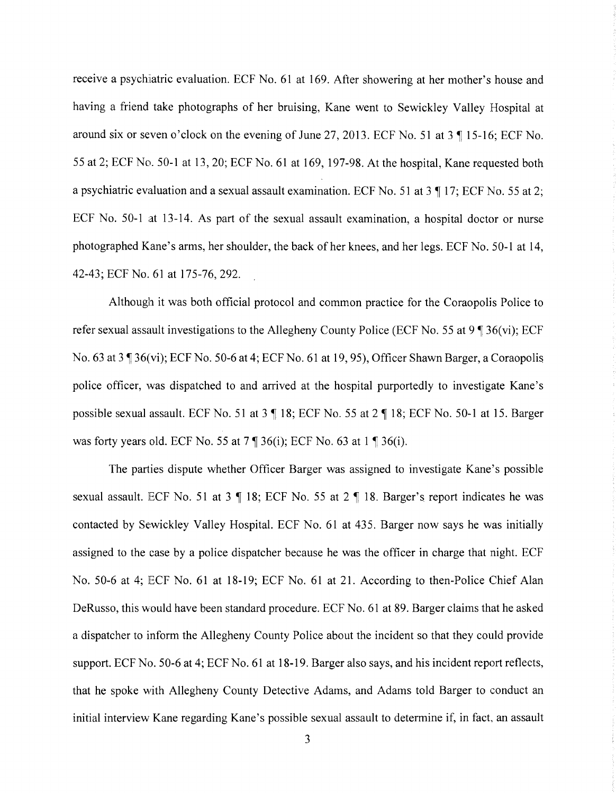receive a psyckiatric evaluation. ECF No. 61 at 169. After showering at her mother's house and having a friend take photographs of her bruising, Kane went to Sewickley Valley Hospital at around six or seven o'clock on the evening of June 27, 2013. ECF No. 51 at  $3 \text{ } \text{T}$  15-16; ECF No. 55 at 2; ECF No. 50-1at13, 20; ECF No. 61at169, 197-98. At the hospital, Kane requested both a psychiatric evaluation and a sexual assault examination. ECF No. 51 at  $3 \text{ } \text{ } \text{ } 17$ ; ECF No. 55 at 2; ECF No. 50-1 at 13-14. As part of the sexual assault examination, a hospital doctor or nurse photographed Kane's arms, her shoulder, the back of her knees, and her legs. ECF No. 50-1 at 14, 42-43; ECF No. 61 at 175-76, 292.

Although it was both official protocol and common practice for the Coraopolis Police to refer sexual assault investigations to the Allegheny County Police (ECF No. 55 at  $9 \text{ }^{\circ}$  36(vi); ECF No. 63 at  $3 \sqrt{36(vi)}$ ; ECF No. 50-6 at 4; ECF No. 61 at 19, 95), Officer Shawn Barger, a Coraopolis police officer, was dispatched to and arrived at the hospital purportedly to investigate Kane's possible sexual assault. ECF No. 51 at  $3 \nparallel 18$ ; ECF No. 55 at  $2 \nparallel 18$ ; ECF No. 50-1 at 15. Barger was forty years old. ECF No. 55 at  $7 \text{ } \text{\ensuremath{\mathsf{I}}\xspace}$  36(i); ECF No. 63 at 1  $\text{\ensuremath{\mathsf{I}}\xspace}$  36(i).

The parties dispute whether Officer Barger was assigned to investigate Kane's possible sexual assault. ECF No. 51 at 3  $\parallel$  18; ECF No. 55 at 2  $\parallel$  18. Barger's report indicates he was contacted by Sewickley Valley Hospital. ECF No. 61 at 435. Barger now says he was initially assigned to the case by a police dispatcher because he was the officer in charge that night. ECF No. 50-6 at 4; ECF No. 61 at 18-19; ECF No. 61 at 21. According to then-Police Chief Alan DeRusso, this would have been standard procedure. ECF No. 61 at 89. Barger claims that he asked a dispatcher to inform the Allegheny County Police about the incident so that they could provide support. ECF No. 50-6 at 4; ECF No. 61 at 18-19. Barger also says, and his incident report reflects, that he spoke with Allegheny County Detective Adams, and Adams told Barger to conduct an initial interview Kane regarding Kane's possible sexual assault to determine if, in fact, an assault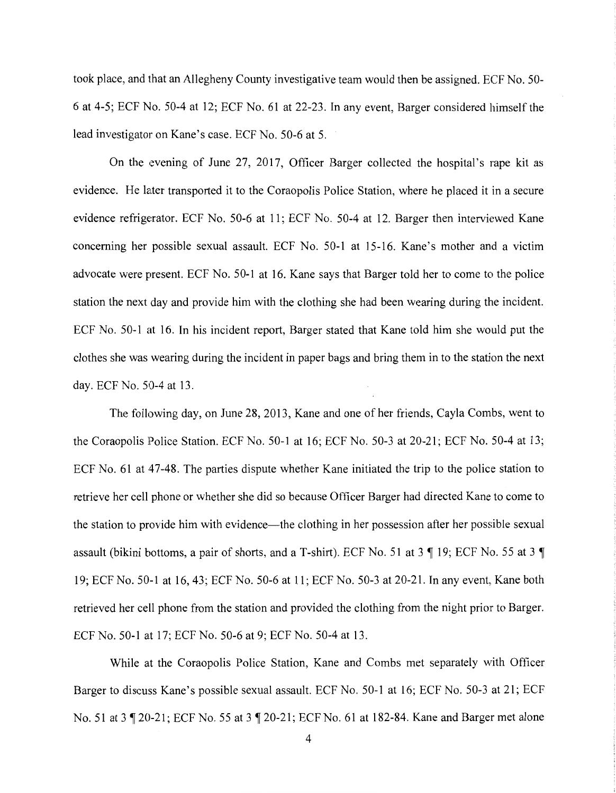took place, and that an Allegheny County investigative team would then be assigned. ECF No. 50- 6 at 4-5; ECF No. 50-4 at 12; ECF No. 61 at 22-23. In any event, Barger considered himself the lead investigator on Kane's case. ECF No. 50-6 at 5.

On the evening of June 27, 2017, Officer Barger collected the hospital's rape kit as evidence. He later transported it to the Coraopolis Police Station, where he placed it in a secure evidence refrigerator. ECF No. 50-6 at 11; ECF No. 50-4 at 12. Barger then interviewed Kane concerning her possible sexual assault. ECF No. 50-1 at 15-16. Kane's mother and a victim advocate were present. ECF No. 50-1 at 16. Kane says that Barger told her to come to the police station the next day and provide him with the clothing she had been wearing during the incident. ECF No. 50-1 at 16. In his incident report, Barger stated that Kane told him she would put the clothes she was wearing during the incident in paper bags and bring them in to the station the next day. ECF No. 50-4 at 13.

The following day, on June 28, 2013, Kane and one of her friends, Cayla Combs, went to the Coraopolis Police Station. ECF No. 50-1 at 16; ECF No. 50-3 at 20-21; ECF No. 50-4 at 13; ECF No. 61 at 47-48. The parties dispute whether Kane initiated the trip to the police station to retrieve her cell phone or whether she did so because Officer Barger had directed Kane to come to the station to provide him with evidence-the clothing in her possession after her possible sexual assault (bikini bottoms, a pair of shorts, and a T-shirt). ECF No. 51 at  $3 \text{ } \text{\ensuremath{\mathsf{I}}\,}$  19; ECF No. 55 at  $3 \text{ } \text{\ensuremath{\mathsf{I}}\,}$ 19; ECF No. 50-1at16, 43; ECF No. 50-6 at 11; ECF No. 50-3 at 20-21. In any event. Kane both retrieved her cell phone from the station and provided the clothing from the night prior to Barger. ECF No. 50-1at17; ECF No. 50-6 at 9; ECF No. 50-4 at 13.

While at the Coraopolis Police Station, Kane and Combs met separately with Officer Barger to discuss Kane's possible sexual assault. ECF No. 50-1 at 16; ECF No. 50-3 at 21; ECF No. 51 at 3 ¶ 20-21; ECF No. 55 at 3 ¶ 20-21; ECF No. 61 at 182-84. Kane and Barger met alone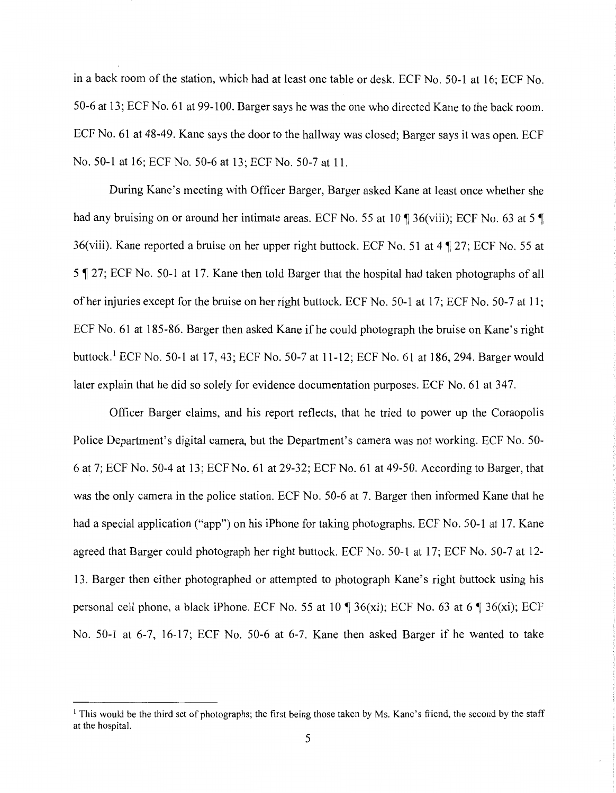in a back room of the station, which had at least one table or desk. ECF No. 50-1 at 16; ECF No. 50-6 at 13; ECF No. 61 at 99-100. Barger says he was the one who directed Kane to the back room. ECF No. 61 at 48-49. Kane says the door to the hallway was closed; Barger says it was open. ECF No. 50-1at16; ECF No. 50-6 at 13; ECF No. 50-7 at 11.

During Kane's meeting with Officer Barger, Barger asked Kane at least once whether she had any bruising on or around her intimate areas. ECF No. 55 at 10  $\degree$  36(viii); ECF No. 63 at 5  $\degree$ 36(viii). Kane reported a bruise on her upper right buttock. ECF No. 51 at  $4 \sqrt{ }$  27; ECF No. 55 at 5 ~ 27; ECF No. 50-1 at 17. Kane then told Barger that the hospital had taken photographs of all of her injuries except for the bruise on her right buttock. ECF No. 50-1 at 17; ECF No. 50-7 at 11; ECF No. 61 at 185-86. Barger then asked Kane if he could photograph the bruise on Kane's right buttock.<sup>1</sup> ECF No. 50-1 at 17, 43; ECF No. 50-7 at 11-12; ECF No. 61 at 186, 294. Barger would later explain that he did so solely for evidence documentation purposes. ECF No. 61 at 347.

Officer Barger claims, and his report reflects, that he tried to power up the Coraopolis Police Department's digital camera, but the Department's camera was not working. ECF No. 50- 6 at 7; ECF No. 50-4 at 13; ECF No. 61at29-32; ECF No. 61 at 49-50. According to Barger, that was the only camera in the police station. ECF No. 50-6 at 7. Barger then informed Kane that he had a special application ("app") on his iPhone for taking photographs. ECF No. 50-1 at 17. Kane agreed that Barger could photograph her right buttock. ECF No. 50-1 at 17; ECF No. 50-7 at 12- 13. Barger then either photographed or attempted to photograph Kane's right buttock using his personal cell phone, a black iPhone. ECF No. 55 at 10  $\sqrt{ }$  36(xi); ECF No. 63 at 6  $\sqrt{ }$  36(xi); ECF No. 50-1 at 6-7, 16-17; ECF No. 50-6 at 6-7. Kane then asked Barger if he wanted to take

<sup>&</sup>lt;sup>1</sup> This would be the third set of photographs; the first being those taken by Ms. Kane's friend, the second by the staff at the hospital.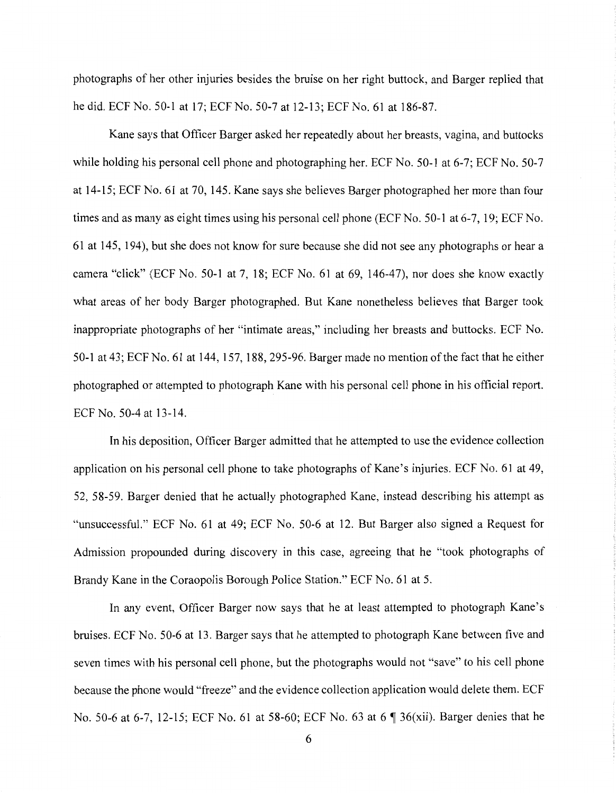photographs of her other injuries besides the bruise on her right buttock, and Barger replied that he did. ECF No. 50-1 at 17; ECF No. 50-7 at 12-13; ECF No. 61 at 186-87.

Kane says that Officer Barger asked her repeatedly about her breasts, vagina, and buttocks while holding his personal cell phone and photographing her. ECF No. 50-1 at 6-7; ECF No. 50-7 at 14-15; ECF No. 61 at 70, 145. Kane says she believes Barger photographed her more than four times and as many as eight times using his personal cell phone (ECF No. 50-1 at 6-7, 19; ECF No. 61at145, 194), but she does not know for sure because she did not see any photographs or hear a camera "click" {ECF No. 50-1 at 7, 18; ECF No. 61 at 69, 146-47), nor does she know exactly what areas of her body Barger photographed. But Kane nonetheless believes that Barger took inappropriate photographs of her "intimate areas," including her breasts and buttocks. ECF No. 50-1at43; ECF No. 61at144, 157, 188, 295-96. Barger made no mention of the fact that he either photographed or attempted to photograph Kane with his personal cell phone in his official report. ECFNo. 50-4at13-14.

In his deposition, Officer Barger admitted that he attempted to use the evidence collection application on his personal cell phone to take photographs of Kane's injuries. ECF No. 61 at 49, 52, 58-59. Barger denied that he actually photographed Kane, instead describing his attempt as "unsuccessful." ECF No. 61 at 49; ECF No. 50-6 at 12. But Barger also signed a Request for Admission propounded during discovery in this case, agreeing that he "took photographs of Brandy Kane in the Coraopolis Borough Police Station." ECF No. 61 at 5.

In any event, Officer Barger now says that he at least attempted to photograph Kane's bruises. ECF No. 50-6 at 13. Barger says that he attempted to photograph Kane between five and seven times with his personal cell phone, but the photographs would not "save" to his cell phone because the phone would "freeze" and the evidence collection application would delete them. ECF No. 50-6 at 6-7, 12-15; ECF No. 61 at 58-60; ECF No. 63 at 6  $\parallel$  36(xii). Barger denies that he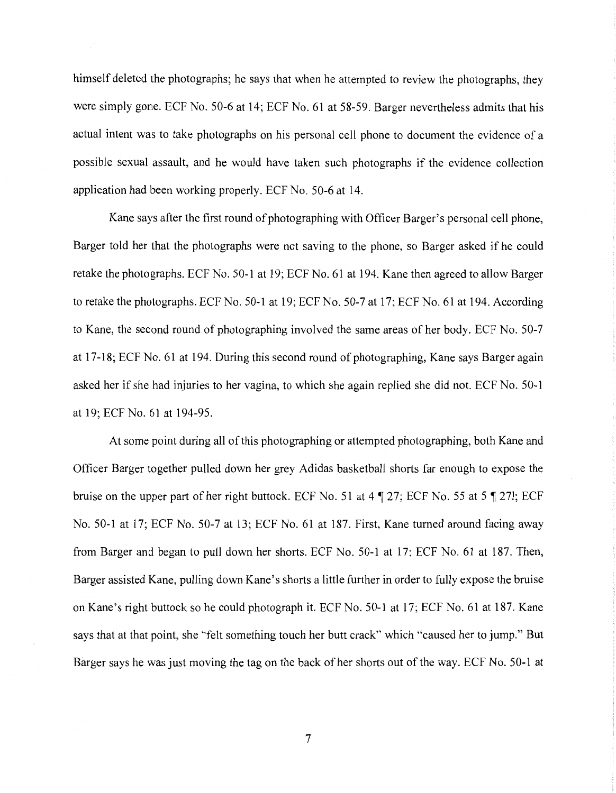himself deleted the photographs; he says that when he attempted to review the photographs, they were simply gone. ECF No. 50-6 at 14; ECF No. 61 at 58-59. Barger nevertheless admits that his actual intent was to take photographs on his personal cell phone to document the evidence of a possible sexual assault, and he would have taken such photographs if the evidence collection application had been working properly. ECF No. 50-6 at 14.

Kane says after the first round of photographing with Officer Barger's personal cell phone, Barger told her that the photographs were not saving to the phone, so Barger asked if he could retake the photographs. ECF No. 50-1 at 19; ECF No. 61 at 194. Kane then agreed to allow Barger to retake the photographs. ECF No. 50-1 at 19; ECF No. 50-7 at 17; ECF No. 61 at 194. According to Kane, the second round of photographing involved the same areas of her body. ECF No. 50-7 at 17-18; ECF No. 61 at 194. During this second round of photographing, Kane says Barger again asked her if she had injuries to her vagina, to which she again replied she did not. ECF No. 50-1 at 19; ECF No. 61 at 194-95.

At some point during all of this photographing or attempted photographing, both Kane and Officer Barger together pulled down her grey Adidas basketball shorts far enough to expose the bruise on the upper part of her right buttock. ECF No. 51 at  $4 \sqrt{9}$  27; ECF No. 55 at 5 $\sqrt{9}$  271; ECF No. 50-1 at 17; ECF No. 50-7 at 13; ECF No. 61 at 187. First, Kane turned around facing away from Barger and began to pull down her shorts. ECF No. 50-1 at 17; ECF No. 61 at 187. Then, Barger assisted Kane, pulling down Kane's shorts a little further in order to fully expose the bruise on Kane's right buttock so he could photograph it. ECF No. 50-1 at 17; ECF No. 61 at 187. Kane says that at that point, she "felt something touch her butt crack" which "caused her to jump." But Barger says he was just moving the tag on the back of her shorts out of the way. ECF No. 50-1 at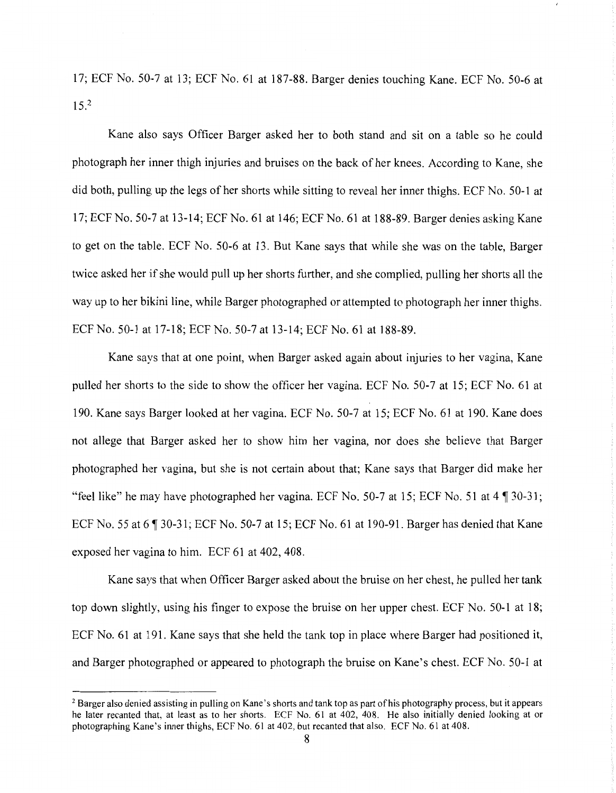17; ECF No. 50·-7 at 13; ECF No. 61 at 187-88. Barger denies touching Kane. ECF No. 50-6 at  $15.<sup>2</sup>$ 

Kane also says Officer Barger asked her to both stand and sit on a table so he could photograph her inner thigh injuries and bruises on the back of her knees. According to Kane, she did both, pulling up the legs of her shorts while sitting to reveal her inner thighs. ECF No. 50-1 at 17; ECF No. 50-7 at 13-14; ECF No. 61at146; ECF No. 61at188-89. Barger denies asking Kane to get on the table. ECF No. 50-6 at 13. But Kane says that while she was on the table, Barger twice asked her if she would pull up her shorts further, and she complied, pulling her shorts all the way up to her bikini line, while Barger photographed or attempted to photograph her inner thighs. ECF No. 50-1 at 17-18; ECF No. 50-7 at 13-14; ECF No. 61 at 188-89.

Kane says that at one point, when Barger asked again about injuries to her vagina, Kane pulled her shorts to the side to show the officer her vagina. ECF No. 50-7 at 15; ECF No. 61 at 190. Kane says Barger looked at her vagina. ECF No. 50-7 at 15; ECF No. 61at190. Kane does not allege that Barger asked her to show him her vagina, nor does she believe that Barger photographed her vagina, but she is not certain about that; Kane says that Barger did make her "feel like" he may have photographed her vagina. ECF No. 50-7 at 15; ECF No. 51 at  $4 \sqrt{ }$  30-31; ECF No. 55 at 6  $\text{T}$  30-31; ECF No. 50-7 at 15; ECF No. 61 at 190-91. Barger has denied that Kane exposed her vagina to him. ECF 61 at 402, 408.

Kane says that when Officer Barger asked about the bruise on her chest, he pulled her tank top down slightly, using his finger to expose the bruise on her upper chest. ECF No. 50-1 at 18; ECF No. 61 at 191. Kane says that she held the tank top in place where Barger had positioned it, and Barger photographed or appeared to photograph the bruise on Kane's chest. ECF No. 50-1 at

<sup>2</sup> Barger also denied assisting in pulling on Kane's shorts and tank top as part of his photography process, but it appears he later recanted that, at least as to her shorts. ECF No. 61 at 402, 408. He also initially denied looking at or photographing Kane's inner thighs, ECF No. 61 at 402, but recanted that also. ECF No. 61 at 408.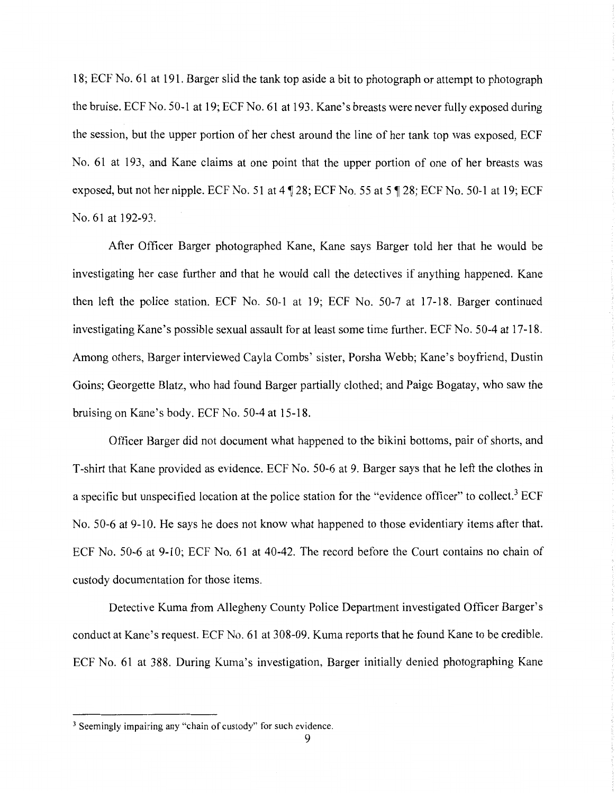18; ECF No. 61 at 191. Barger slid the tank top aside a bit to photograph or attempt to photograph the bruise. ECF No. 50-1 at 19; ECF No. 61 at 193. Kane's breasts were never fully exposed during the session, but the upper portion of her chest around the line of her tank top was exposed, ECF No. 61 at 193, and Kane claims at one point that the upper portion of one of her breasts was exposed, but not her nipple. ECF No. 51 at  $4 \sqrt{ }$  28; ECF No. 55 at 5 $\sqrt{ }$  28; ECF No. 50-1 at 19; ECF No. 61 at 192-93.

After Officer Barger photographed Kane, Kane says Barger told her that he would be investigating her case further and that he would call the detectives if anything happened. Kane then left the police station. ECF No. 50-1 at 19; ECF No. 50-7 at 17-18. Barger continued investigating Kane's possible sexual assault for at least some time further. ECF No. 50-4 at 17-18. Among others, Barger interviewed Cayla Combs' sister, Porsha Webb; Kane's boyfriend, Dustin Goins; Georgette Blatz, who had found Barger partially clothed; and Paige Bogatay, who saw the bruising on Kane's body. ECF No. 50-4 at 15-18.

Officer Barger did not document what happened to the bikini bottoms, pair of shorts, and T-shirt that Kane provided as evidence. ECF No. 50-6 at 9. Barger says that he left the clothes in a specific but unspecified location at the police station for the "evidence officer" to collect.<sup>3</sup> ECF No. 50-6 at 9-10. He says he does not know what happened to those evidentiary items after that. ECF No. 50-6 at 9-10; ECF No. 61 at 40-42. The record before the Court contains no chain of custody documentation for those items.

Detective Kuma from Allegheny County Police Department investigated Officer Barger's conduct at Kane's request. ECF No. 61 at 308-09. Kuma reports that he found Kane to be credible. ECF No. 61 at 388. During Kuma's investigation, Barger initially denied photographing Kane

<sup>&</sup>lt;sup>3</sup> Seemingly impairing any "chain of custody" for such evidence.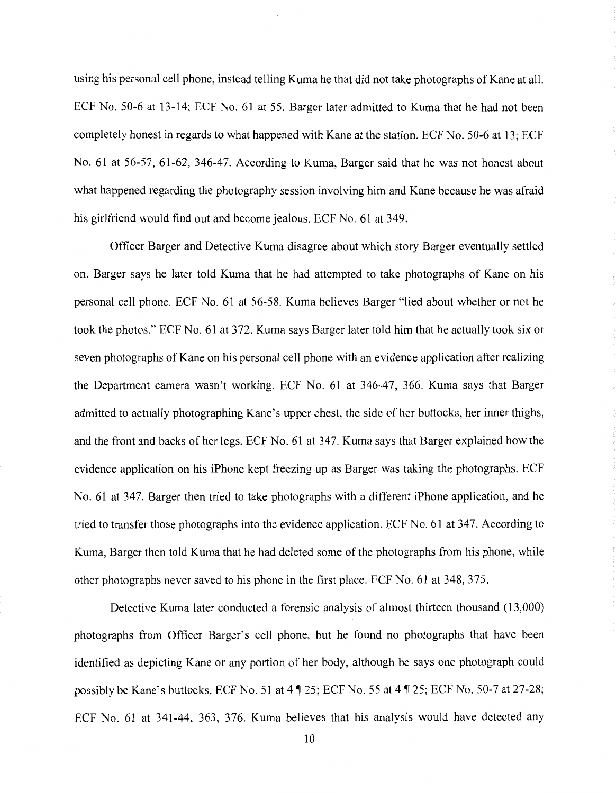using his personal cell phone, instead telling Kuma he that did not take photographs of Kane at all. ECF No. 50-6 at 13-14; ECF No. 61 at 55. Barger later admitted to Kuma that he had not been completely honest in regards to what happened with Kane at the station. ECF No. 50-6 at 13; ECF No. 61 at 56-57, 61-62, 346-47. According to Kuma, Barger said that he was not honest about what happened regarding the photography session involving him and Kane because he was afraid his girlfriend would find out and become jealous. ECF No. 61 at 349.

Officer Barger and Detective Kuma disagree about which story Barger eventually settled on. Barger says he later told Kuma that he had attempted to take photographs of Kane on his personal cell phone. ECF No. 61 at 56-58. Kuma believes Barger "lied about whether or not he took the photos." ECF No. 61 at 372. Kuma says Barger later told him that he actually took six or seven photographs of Kane on his personal cell phone with an evidence application after realizing the Department camera wasn't working. ECF No. 61 at 346-47, 366. Kuma says that Barger admitted to actually photographing Kane's upper chest, the side of her buttocks, her inner thighs, and the front and backs of her legs. ECF No. 61 at 347. Kuma says that Barger explained how the evidence application on his iPhone kept freezing up as Barger was taking the photographs. ECF No. 61 at 347. Barger then tried to take photographs with a different iPhone application, and he tried to transfer those photographs into the evidence application. ECF No. 61 at 347. According to Kuma, Barger then told Kuma that he had deleted some of the photographs from his phone, while other photographs never saved to his phone in the first place. ECF No. 61 at 348, 375.

Detective Kuma later conducted a forensic analysis of almost thirteen thousand (13,000) photographs from Officer Barger's cell phone, but he found no photographs that have been identified as depicting Kane or any portion of her body, although he says one photograph could possibly be Kane's buttocks. ECF No. 51 at 4 | 25; ECF No. 55 at 4 | 25; ECF No. 50-7 at 27-28; ECF No. 61 at 341-44, 363, 376. Kuma believes that his analysis would have detected any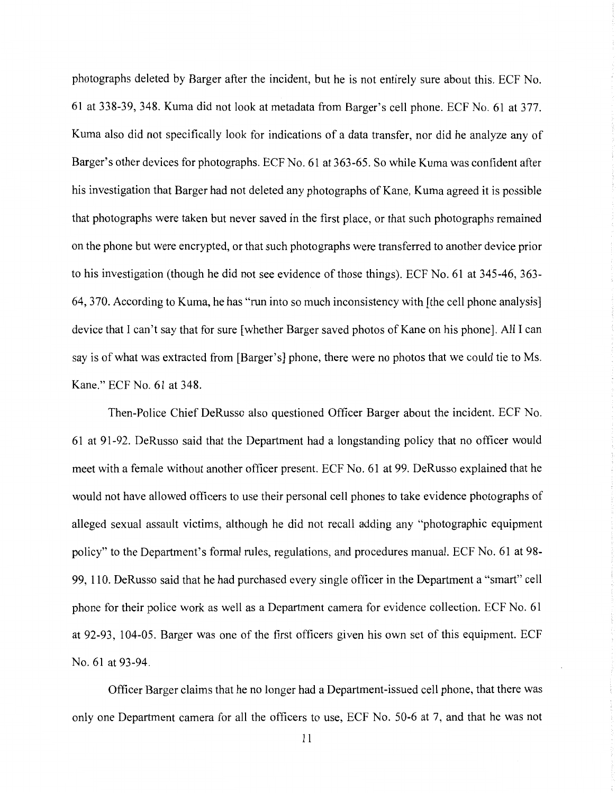photographs deleted by Barger after the incident, but he is not entirely sure about this. ECF No. 61 at 338-39, 348. Kuma did not look at metadata from Barger's cell phone. ECF No. 61 at 377. Kuma also did not specifically look for indications of a data transfer, nor did he analyze any of Barger's other devices for photographs. ECF No. 61 at 363-65. So while Kuma was confident after his investigation that Barger had not deleted any photographs of Kane, Kuma agreed it is possible that photographs were taken but never saved in the first place, or that such photographs remained on the phone but were encrypted, or that such photographs were transferred to another device prior to his investigation (though he did not see evidence of those things). ECF No. 61 at 345-46, 363- 64, 370. According to Kuma, he has "run into so much inconsistency with [the cell phone analysis] device that I can't say that for sure [whether Barger saved photos of Kane on his phone]. All I can say is of what was extracted from [Barger's] phone, there were no photos that we could tie to Ms. Kane." ECF No. 61 at 348.

Then-Police Chief DeRusso also questioned Officer Barger about the incident. ECF No. 61 at 91-92. DeRusso said that the Department had a longstanding policy that no officer would meet with a female without another officer present. ECF No. 61 at 99. DeRusso explained that he would not have allowed officers to use their personal cell phones to take evidence photographs of alleged sexual assault victims, although he did not recall adding any "photographic equipment policy" to the Department's formal rules, regulations, and procedures manual. ECF No. 61 at 98- 99, 110. DeRusso said that he had purchased every single officer in the Department a "smart" cell phone for their police work as well as a Department camera for evidence collection. ECF No. 61 at 92-93, 104-05. Barger was one of the first officers given his own set of this equipment. ECF No. 61 at 93-94.

Officer Barger claims that he no longer had a Department-issued cell phone, that there was only one Department camera for all the officers to use, ECF No. 50-6 at 7, and that he was not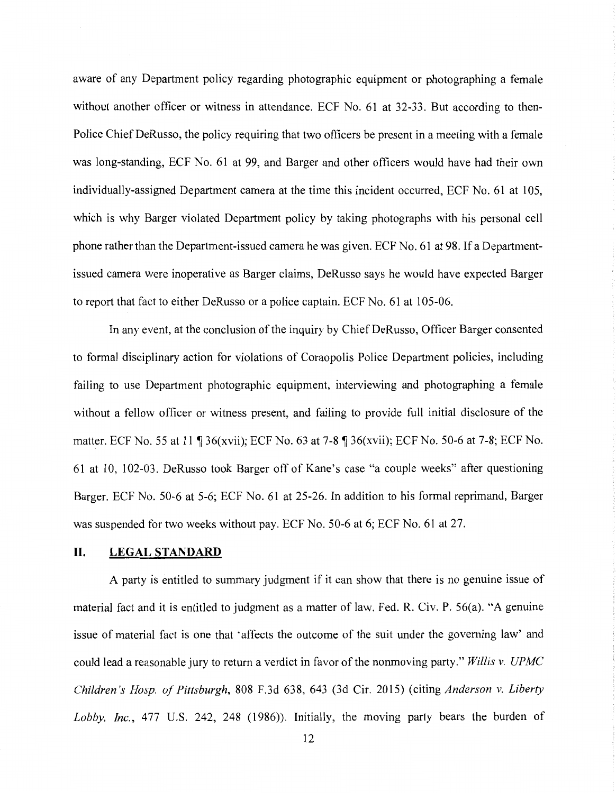aware of any Department policy regarding photographic equipment or photographing a female without another officer or witness in attendance. ECF No. 61 at 32-33. But according to then-Police Chief DeRusso, the policy requiring that two officers be present in a meeting with a female was long-standing, ECF No. 61 at 99, and Barger and other officers would have had their own individually-assigned Department camera at the time this incident occurred, ECF No. 61 at 105, which is why Barger violated Department policy by taking photographs with his personal cell phone rather than the Department-issued camera he was given. ECF No. 61 at 98. If a Departmentissued camera were inoperative as Barger claims, DeRusso says he would have expected Barger to report that fact to either DeRusso or a police captain. ECF No. 61 at 105-06.

In any event, at the conclusion of the inquiry by Chief DeRusso, Officer Barger consented to formal disciplinary action for violations of Coraopolis Police Department policies, including failing to use Department photographic equipment, interviewing and photographing a female without a fellow officer or witness present, and failing to provide full initial disclosure of the matter. ECF No. 55 at 11 ¶ 36(xvii); ECF No. 63 at 7-8 ¶ 36(xvii); ECF No. 50-6 at 7-8; ECF No. 61 at 10, 102-03. DeRusso took Barger off of Kane's case "a couple weeks" after questioning Barger. ECF No. 50-6 at 5-6; ECF No. 61 at 25-26. In addition to his formal reprimand, Barger was suspended for two weeks without pay. ECF No. 50-6 at 6; ECF No. 61 at 27.

# **II. LEGALSTANDARD**

A party is entitled to summary judgment if it can show that there is no genuine issue of material fact and it is entitled to judgment as a matter of law. Fed. R. Civ. P. 56(a). "A genuine issue of material fact is one that 'affects the outcome of the suit under the governing law' and could lead a reasonable jury to return a verdict in favor of the nonmoving party." *Willis v. UPMC Children's Hosp. of Pittsburgh,* 808 F.3d 638, 643 (3d Cir. 2015) (citing *Anderson v. Liberty Lobby, Inc.,* 477 U.S. 242, 248 (1986)). Initially, the moving party bears the burden of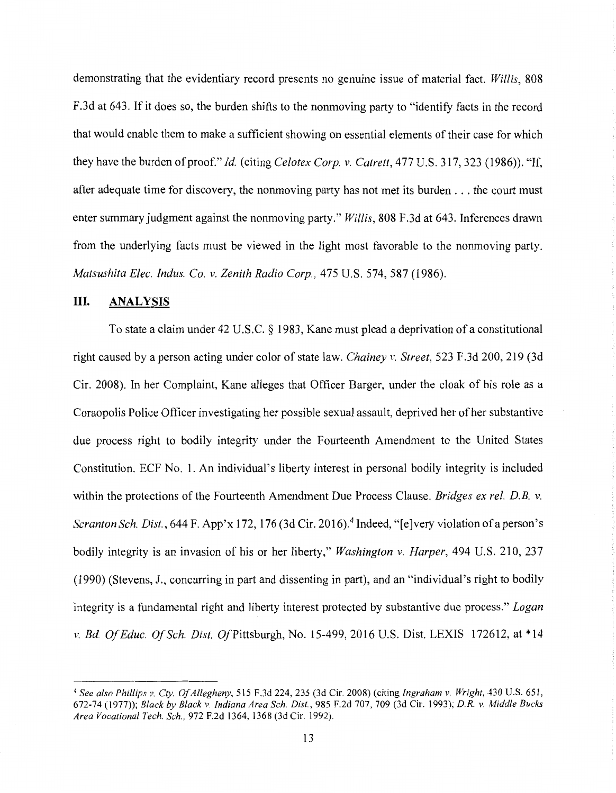demonstrating that the evidentiary record presents no genuine issue of material fact. *Willis,* 808 F.3d at 643. If it does so, the burden shifts to the nonmoving party to "identify facts in the record that would enable them to make a sufficient showing on essential elements of their case for which they have the burden of proof." *Id.* (citing *Celotex Corp. v. Catrett,* 477 U.S. 317, 323 (1986)). "If, after adequate time for discovery, the nonmoving party has not met its burden ... the court must enter summary judgment against the nonmoving party." *Willis,* 808 F.3d at 643. Inferences drawn from the underlying facts must be viewed in the light most favorable to the nonmoving party. *Matsushita Elec. Indus. Co. v. Zenith Radio Corp.,* 475 U.S. 574, 587 (1986).

### **III. ANALYSIS**

To state a claim under 42 U.S.C. § 1983, Kane must plead a deprivation of a constitutional right caused by a person acting under color of state law. *Chainey v. Street,* 523 F .3d 200, 219 (3d Cir. 2008). In her Complaint, Kane alleges that Officer Barger, under the cloak of his role as a Coraopolis Police Officer investigating her possible sexual assault, deprived her of her substantive due process right to bodily integrity under the Fourteenth Amendment to the United States Constitution. ECF No. 1. An individual's liberty interest in personal bodily integrity is included within the protections of the Fourteenth Amendment Due Process Clause. *Bridges ex rel. D.B. v. Scranton Sch. Dist.,* 644 F. App'x 172, 176 (3d Cir. 2016). 4 Indeed, "[e]very violation of a person's bodily integrity is an invasion of his or her liberty," *Washington v. Harper,* 494 U.S. 210, 237 (1990) (Stevens, J., concurring in part and dissenting in part), and an "individual's right to bodily integrity is a fundamental right and liberty interest protected by substantive due process." *Logan v. Bd. Of Educ. Of Sch. Dist. Of* Pittsburgh, No. 15-499, 2016 U.S. Dist. LEXIS 172612, at \*14

<sup>4</sup>*See also Phillips v. Cty. Of Allegheny,* 515 F.3d 224, 235 (3d Cir. 2008) (citing *Ingraham v. Wright,* 430 U.S. 651, 672-74 (1977)); *Black by Black v. Indiana Area Sch. Dist.,* 985 F.2d 707, 709 (3d Cir. 1993); *D.R. v. Middle Bucks Area Vocational Tech. Sch.,* 972 F .2d 1364, 1368 (3d Cir. 1992).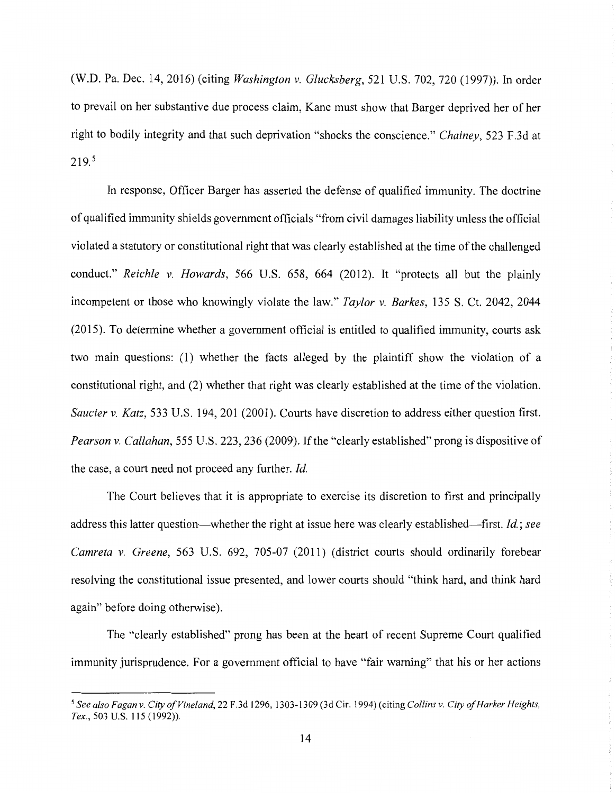(W.D. Pa. Dec. 14, 2016) (citing *Washington v. Glucksberg,* 521 U.S. 702, 720 (1997) ). In order to prevail on her substantive due process claim, Kane must show that Barger deprived her of her right to bodily integrity and that such deprivation "shocks the conscience." *Chainey,* 523 F.3d at  $219.5$ 

In response, Officer Barger has asserted the defense of qualified immunity. The doctrine of qualified immunity shields government officials "from civil damages liability unless the official violated a statutory or constitutional right that was clearly established at the time of the challenged conduct." *Reichle v. Howards,* 566 U.S. 658, 664 (2012). It "protects all but the plainly incompetent or those who knowingly violate the law." *Taylor v. Barkes,* 135 S. Ct. 2042, 2044 (2015). To determine whether a government official is entitled to qualified immunity, courts ask two main questions: (1) whether the facts alleged by the plaintiff show the violation of a constitutional right, and (2) whether that right was clearly established at the time of the violation. *Saucier v. Katz,* 533 U.S. 194, 201 (2001). Courts have discretion to address either question first. *Pearson v. Callahan,* 555 U.S. 223, 236 (2009). If the "clearly established" prong is dispositive of the case, a court need not proceed any further. *Id.* 

The Court believes that it is appropriate to exercise its discretion to first and principally address this latter question—whether the right at issue here was clearly established—first. *Id.*; see *Camreta v. Greene,* 563 U.S. 692, 705-07 (2011) (district courts should ordinarily forebear resolving the constitutional issue presented, and lower courts should "think hard, and think hard again" before doing otherwise).

The "clearly established" prong has been at the heart of recent Supreme Court qualified immunity jurisprudence. For a government official to have "fair warning" that his or her actions

<sup>5</sup>*See also Fagan v. City of Vineland,* 22 F.3d 1296, 1303-1309 (3d Cir. 1994) (citing *Collins v. City of Harker Heights, Tex.,* 503 U.S. 115 (1992)).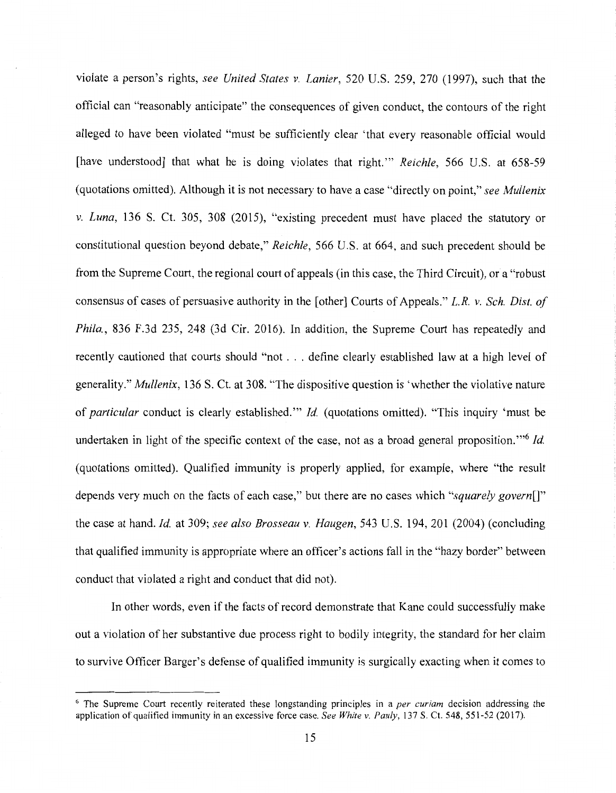violate a person's rights, *see United States v. Lanier,* 520 U.S. 259, 270 (1997), such that the official can "reasonably anticipate" the consequences of given conduct, the contours of the right alleged to have been violated "must be sufficiently clear 'that every reasonable official would [have understood] that what he is doing violates that right."' *Reichle,* 566 U.S. at 658-59 (quotations omitted). Although it is not necessary to have a case "directly on point," *see Mullenix v. Luna,* 136 S. Ct. 305, 308 (2015), "existing precedent must have placed the statutory or constitutional question beyond debate," *Reichle,* 566 U.S. at 664, and such precedent should be from the Supreme Court, the regional court of appeals (in this case, the Third Circuit), or a "robust consensus of cases of persuasive authority in the [other] Courts of Appeals." *L.R. v. Sch. Dist. of Phi/a.,* 836 F.3d 235, 248 (3d Cir. 2016). In addition, the Supreme Court has repeatedly and recently cautioned that courts should "not ... define clearly established law at a high level of generality." *Mullenix,* 136 S. Ct. at 308. "The dispositive question is 'whether the violative nature of *particular* conduct is clearly established."' *Id.* (quotations omitted). "This inquiry 'must be undertaken in light of the specific context of the case, not as a broad general proposition. "'6 *Id.*  (quotations omitted). Qualified immunity is properly applied, for example, where "the result depends very much on the facts of each case," but there are no cases which *"squarely govern[]"*  the case at hand. *Id.* at 309; *see also Brosseau v. Haugen,* 543 U.S. 194, 201 (2004) (concluding that qualified immunity is appropriate where an officer's actions fall in the "hazy border" between conduct that violated a right and conduct that did not).

In other words, even if the facts of record demonstrate that Kane could successfully make out a violation of her substantive due process right to bodily integrity, the standard for her claim to survive Officer Barger's defense of qualified immunity is surgically exacting when it comes to

<sup>6</sup> The Supreme Court recently reiterated these longstanding principles in a *per curiam* decision addressing the application of qualified immunity in an excessive force case. *See White v. Pauly,* 137 S. Ct. 548, 551-52 (2017).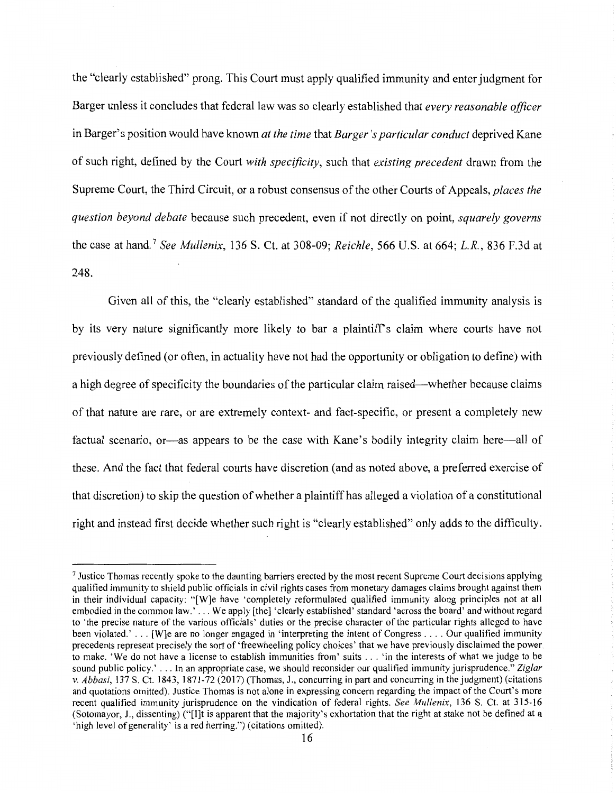the "clearly established" prong. This Court must apply qualified immunity and enter judgment for Barger unless it concludes that federal law was so clearly established that *every reasonable officer*  in Barger's position would have known *at the time* that *Barger's particular conduct* deprived Kane of such right, defined by the Court *with specificity,* such that *existing precedent* drawn from the Supreme Court, the Third Circuit, or a robust consensus of the other Courts of Appeals, *places the question beyond debate* because such precedent, even if not directly on point, *squarely governs*  the case at hand. <sup>7</sup>*See Mullenix,* 136 S. Ct. at 308-09; *Reichle,* 566 U.S. at 664; *L.R.,* 836 F.3d at 248.

Given all of this, the "clearly established" standard of the qualified immunity analysis is by its very nature significantly more likely to bar a plaintiffs claim where courts have not previously defined (or often, in actuality have not had the opportunity or obligation to define) with a high degree of specificity the boundaries of the particular claim raised-whether because claims of that nature are rare, or are extremely context- and fact-specific, or present a completely new factual scenario, or-as appears to be the case with Kane's bodily integrity claim here—all of these. And the fact that federal courts have discretion (and as noted above, a preferred exercise of that discretion) to skip the question of whether a plaintiff has alleged a violation of a constitutional right and instead first decide whether such right is "clearly established" only adds to the difficulty.

<sup>&</sup>lt;sup>7</sup> Justice Thomas recently spoke to the daunting barriers erected by the most recent Supreme Court decisions applying qualified immunity to shield public officials in civil rights cases from monetary damages claims brought against them in their individual capacity: "[W]e have 'completely reformulated qualified immunity along principles not at all embodied in the common law.' ... We apply [the] 'clearly established' standard 'across the board' and without regard to 'the precise nature of the various officials' duties or the precise character of the particular rights alleged to have been violated.' ... [W]e are no longer engaged in 'interpreting the intent of Congress .... Our qualified immunity precedents represent precisely the sort of 'freewheeling policy choices' that we have previously disclaimed the power to make. 'We do not have a license to establish immunities from' suits ... 'in the interests of what we judge to be sound public policy.' ... In an appropriate case, we should reconsider our qualified immunity jurisprudence." *Ziglar v. Abbasi*, 137 S. Ct. 1843, 1871-72 (2017) (Thomas, J., concurring in part and concurring in the judgment) (citations and quotations omitted). Justice Thomas is not alone in expressing concern regarding the impact of the Court's more recent qualified immunity jurisprudence on the vindication of federal rights. *See Mullenix,* 136 S. Ct. at 315-16 (Sotomayor, J., dissenting) ("[I]t is apparent that the majority's exhortation that the right at stake not be defined at a 'high level of generality' is a red herring.") (citations omitted).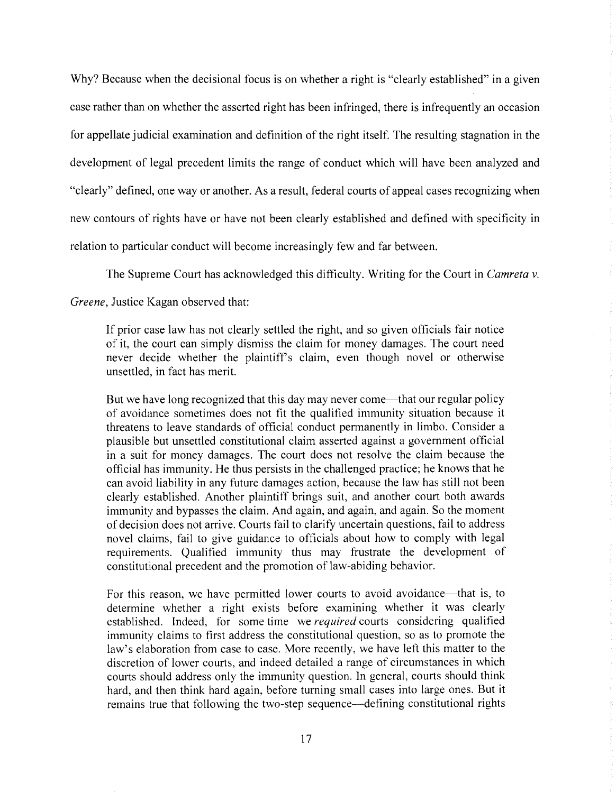Why? Because when the decisional focus is on whether a right is "clearly established" in a given case rather than on whether the asserted right has been infringed, there is infrequently an occasion for appellate judicial examination and definition of the right itself. The resulting stagnation in the development of legal precedent limits the range of conduct which will have been analyzed and "clearly" defined, one way or another. As a result, federal courts of appeal cases recognizing when new contours of rights have or have not been clearly established and defined with specificity in relation to particular conduct will become increasingly few and far between.

The Supreme Court has acknowledged this difficulty. Writing for the Court in *Camreta v.* 

### *Greene,* Justice Kagan observed that:

If prior case law has not clearly settled the right, and so given officials fair notice of it, the court can simply dismiss the claim for money damages. The court need never decide whether the plaintiff's claim, even though novel or otherwise unsettled, in fact has merit.

But we have long recognized that this day may never come—that our regular policy of avoidance sometimes does not fit the qualified immunity situation because it threatens to leave standards of official conduct pennanently in limbo. Consider a plausible but unsettled constitutional claim asserted against a government official in a suit for money damages. The court does not resolve the claim because the official has immunity. He thus persists in the challenged practice; he knows that he can avoid liability in any future damages action, because the law has still not been clearly established. Another plaintiff brings suit, and another court both awards immunity and bypasses the claim. And again, and again, and again. So the moment of decision does not arrive. Courts fail to clarify uncertain questions, fail to address novel claims, fail to give guidance to officials about how to comply with legal requirements. Qualified immunity thus may frustrate the development of constitutional precedent and the promotion of law-abiding behavior.

For this reason, we have permitted lower courts to avoid avoidance—that is, to determine whether a right exists before examining whether it was clearly established. Indeed, for some time we *required* courts considering qualified immunity claims to first address the constitutional question, so as to promote the law's elaboration from case to case. More recently, we have lett this matter to the discretion of lower courts, and indeed detailed a range of circumstances in which courts should address only the immunity question. In general, courts should think hard, and then think hard again, before turning small cases into large ones. But it remains true that following the two-step sequence—defining constitutional rights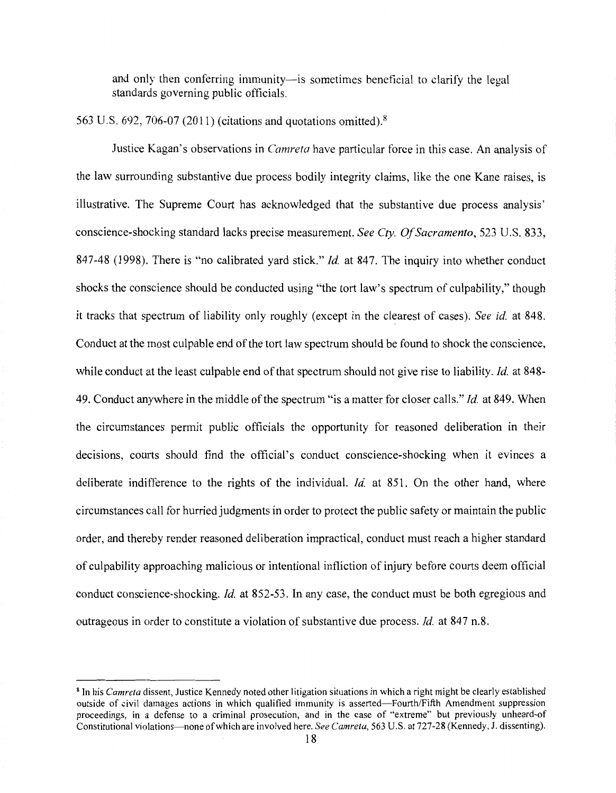and only then conferring immunity---is sometimes beneficial to clarify the legal standards governing public officials.

# 563 U.S. 692, 706-07 (2011) (citations and quotations omitted). <sup>8</sup>

Justice Kagan's observations in *Camreta* have particular force in this case. An analysis of the law surrounding substantive due process bodily integrity claims, like the one Kane raises, is illustrative. The Supreme Court has acknowledged that the substantive due process analysis' conscience-shocking standard lacks precise measurement. *See Cty. Of Sacramento,* 523 U.S. 833, 847-48 (1998). There is "no calibrated yard stick." *Id.* at 847. The inquiry into whether conduct shocks the conscience should be conducted using "the tort law's spectrum of culpability," though it tracks that spectrum of liability only roughly (except in the clearest of cases). *See id.* at 848. Conduct at the most culpable end of the tort law spectrum should be found to shock the conscience, while conduct at the least culpable end of that spectrum should not give rise to liability. *Id.* at 848- 49. Conduct anywhere in the middle of the spectrum "is a matter for closer calls." *Id.* at 849. When the circumstances permit public officials the opportunity for reasoned deliberation in their decisions, courts should find the official's conduct conscience-shocking when it evinces a deliberate indifference to the rights of the individual. *Id.* at 851. On the other hand, where circumstances call for hurried judgments in order to protect the public safety or maintain the public order, and thereby render reasoned deliberation impractical, conduct must reach a higher standard of culpability approaching malicious or intentional infliction of injury before courts deem official conduct conscience-shocking. *Id.* at 852-53. In any case, the conduct must be both egregious and outrageous in order to constitute a violation of substantive due process. *Id.* at 847 n.8.

<sup>8</sup> In his *Camreta* dissent, Justice Kennedy noted other litigation situations in which a right might be clearly established outside of civil damages actions in which qualified immunity is asserted-Fourth/Fifth Amendment suppression proceedings, in a defense to a criminal prosecution, and in the case of "extreme" but previously unheard-of Constitutional violations-none of which are involved here. *See Camreta,* 563 U.S. at 727-28 (Kennedy, J. dissenting).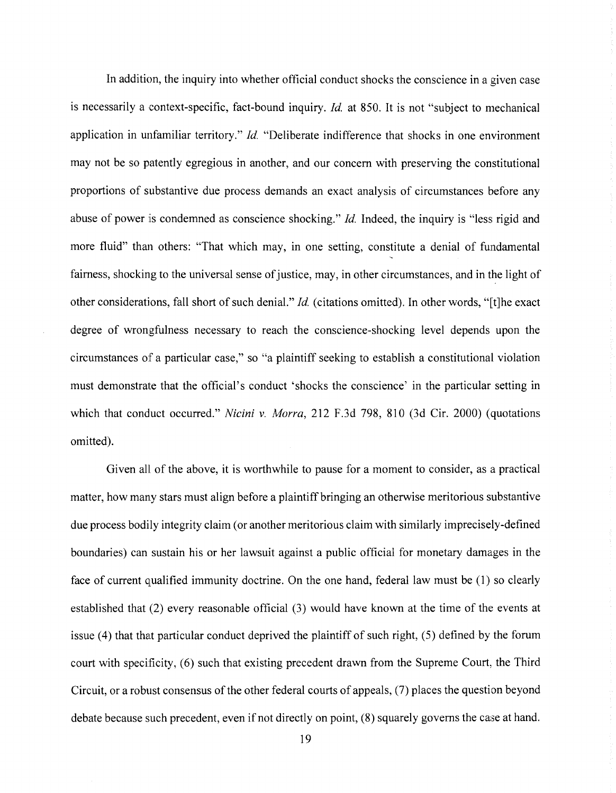In addition, the inquiry into whether official conduct shocks the conscience in a given case is necessarily a context-specific, fact-bound inquiry. *Id.* at 850. It is not "subject to mechanical application in unfamiliar territory." *Id.* "Deliberate indifference that shocks in one environment may not be so patently egregious in another, and our concern with preserving the constitutional proportions of substantive due process demands an exact analysis of circumstances before any abuse of power is condemned as conscience shocking." *Id.* Indeed, the inquiry is "less rigid and more fluid" than others: "That which may, in one setting, constitute a denial of fundamental fairness, shocking to the universal sense of justice, may, in other circumstances, and in the light of other considerations, fall short of such denial." *Id.* (citations omitted). In other words, "[t]he exact degree of wrongfulness necessary to reach the conscience-shocking level depends upon the circumstances of a particular case," so "a plaintiff seeking to establish a constitutional violation must demonstrate that the official's conduct 'shocks the conscience' in the particular setting in which that conduct occurred." *Nicini v. Morra,* 212 F.3d 798, 810 (3d Cir. 2000) (quotations omitted).

Given all of the above, it is worthwhile to pause for a moment to consider, as a practical matter, how many stars must align before a plaintiff bringing an otherwise meritorious substantive due process bodily integrity claim (or another meritorious claim with similarly imprecisely-defined boundaries) can sustain his or her lawsuit against a public official for monetary damages in the face of current qualified immunity doctrine. On the one hand, federal law must be (1) so clearly established that (2) every reasonable official (3) would have known at the time of the events at issue (4) that that particular conduct deprived the plaintiff of such right, (5) defined by the forum court with specificity, (6) such that existing precedent drawn from the Supreme Court, the Third Circuit, or a robust consensus of the other federal courts of appeals, (7) places the question beyond debate because such precedent, even if not directly on point, (8) squarely governs the case at hand.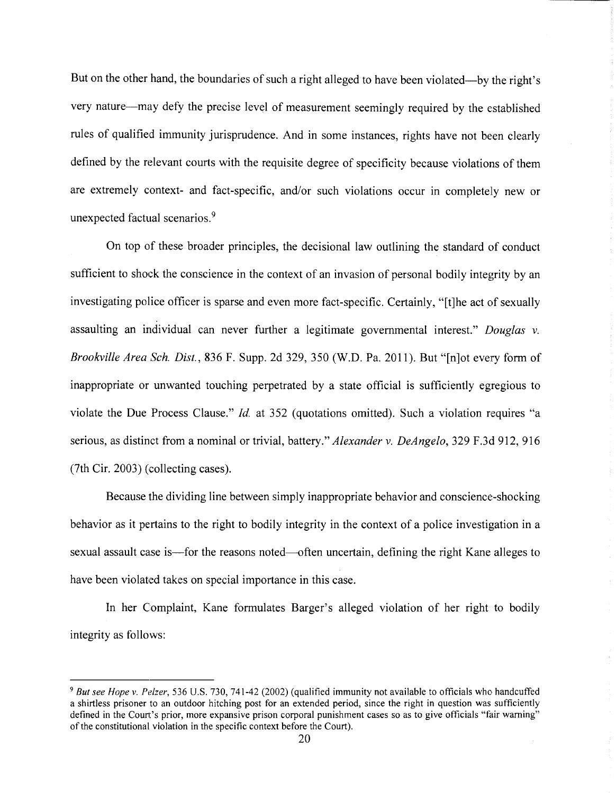But on the other hand, the boundaries of such a right alleged to have been violated—by the right's very nature—may defy the precise level of measurement seemingly required by the established rules of qualified immunity jurisprudence. And in some instances, rights have not been clearly defined by the relevant courts with the requisite degree of specificity because violations of them are extremely context- and fact-specific, and/or such violations occur in completely new or unexpected factual scenarios.<sup>9</sup>

On top of these broader principles, the decisional law outlining the standard of conduct sufficient to shock the conscience in the context of an invasion of personal bodily integrity by an investigating police officer is sparse and even more fact-specific. Certainly, "[t]he act of sexually assaulting an individual can never further a legitimate governmental interest." *Douglas v. Brookville Area Sch. Dist.,* 836 F. Supp. 2d 329, 350 (W.D. Pa. 2011). But "[n]ot every form of inappropriate or unwanted touching perpetrated by a state official is sufficiently egregious to violate the Due Process Clause." *Id.* at 352 (quotations omitted). Such a violation requires "a serious, as distinct from a nominal or trivial, battery." *Alexander v. DeAngelo,* 329 F.3d 912, 916 (7th Cir. 2003) (collecting cases).

Because the dividing line between simply inappropriate behavior and conscience-shocking behavior as it pertains to the right to bodily integrity in the context of a police investigation in a sexual assault case is—for the reasons noted—often uncertain, defining the right Kane alleges to have been violated takes on special importance in this case.

In her Complaint, Kane formulates Barger's alleged violation of her right to bodily integrity as follows:

<sup>9</sup>*But see Hope v. Pelzer,* 536 U.S. 730, 741-42 (2002) (qualified immunity not available to officials who handcuffed a shirtless prisoner to an outdoor hitching post for an extended period, since the right in question was sufficiently defined in the Court's prior, more expansive prison corporal punishment cases so as to give officials "fair warning" of the constitutional violation in the specific context before the Court).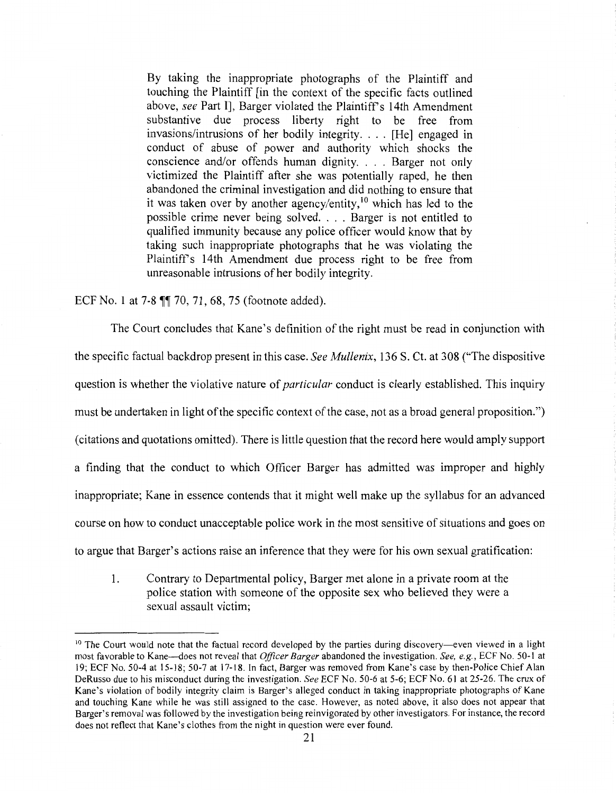By taking the inappropriate photographs of the Plaintiff and touching the Plaintiff [in the context of the specific facts outlined above, *see* Part II, Barger violated the Plaintiff's 14th Amendment substantive due process liberty right to be free from invasions/intrusions of her bodily integrity. ... [He] engaged in conduct of abuse of power and authority which shocks the conscience and/or offends human dignity. . . . Barger not only victimized the Plaintiff after she was potentially raped, he then abandoned the criminal investigation and did nothing to ensure that it was taken over by another agency/entity, 10 which has led to the possible crime never being solved. . .. Barger is not entitled to qualified immunity because any police officer would know that by taking such inappropriate photographs that he was violating the Plaintiffs 14th Amendment due process right to be free from unreasonable intrusions of her bodily integrity.

ECF No. 1 at  $7-8$   $\P$  $70, 71, 68, 75$  (footnote added).

The Court concludes that Kane's definition of the right must be read in conjunction with the specific factual backdrop present in this case. *See Mullenix,* 136 S. Ct. at 308 ("The dispositive question is whether the violative nature of *particular* conduct is clearly established. This inquiry must be undertaken in light of the specific context of the case, not as a broad general proposition.") (citations and quotations omitted). There is little question that the record here would amply support a finding that the conduct to which Officer Barger has admitted was improper and highly inappropriate; Kane in essence contends that it might well make up the syllabus for an advanced course on how to conduct unacceptable police work in the most sensitive of situations and goes on to argue that Barger's actions raise an inference that they were for his own sexual gratification:

1. Contrary to Departmental policy, Barger met alone in a private room al the police station with someone of the opposite sex who believed they were a sexual assault victim;

 $10$  The Court would note that the factual record developed by the parties during discovery—even viewed in a light most favorable to Kane-does not reveal that *Officer Barger* abandoned the investigation. *See, e.g.,* ECF No. 50-1 at 19; ECF No. 50-4 at 15-18; 50-7 at 17-18. In fact, Barger was removed from Kane's case by then-Police Chief Alan DeRusso due to his misconduct during the investigation. *See* ECF No. 50-6 at 5-6; ECF No. 61 at 25-26. The crux of Kane's violation of bodily integrity claim is Barger's alleged conduct in taking inappropriate photographs of Kane and touching Kane while he was still assigned to the case. However, as noted above, it also does not appear that Barger's removal was followed by the investigation being reinvigorated by other investigators. For instance, the record does not reflect that Kane's clothes from the night in question were ever found.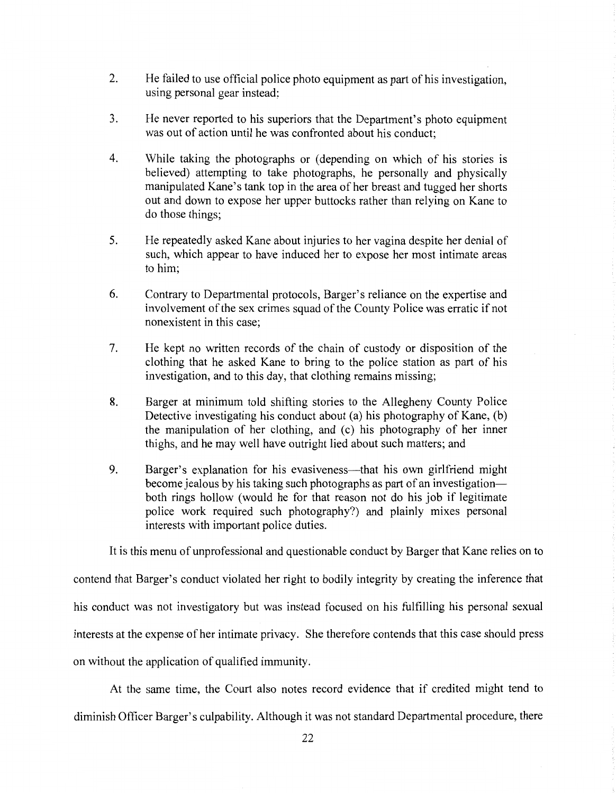- 2. He failed to use official police photo equipment as part of his investigation, using personal gear instead;
- 3. He never reported to his superiors that the Department's photo equipment was out of action until he was confronted about his conduct;
- 4. While taking the photographs or (depending on which of his stories is believed) attempting to take photographs, he personally and physically manipulated Kane's tank top in the area of her breast and tugged her shorts out and down to expose her upper buttocks rather than relying on Kane to do those things;
- 5. He repeatedly asked Kane about injuries to her vagina despite her denial of such, which appear to have induced her to expose her most intimate areas to him;
- 6. Contrary to Departmental protocols, Barger's reliance on the expertise and involvement of the sex crimes squad of the County Police was erratic if not nonexistent in this case;
- 7. He kept no written records of the chain of custody or disposition of the clothing that he asked Kane to bring to the police station as part of his investigation, and to this day, that clothing remains missing;
- 8. Barger at minimum told shifting stories to the Allegheny County Police Detective investigating his conduct about (a) his photography of Kane, (b) the manipulation of her clothing, and (c) his photography of her inner thighs, and he may well have outright lied about such matters; and
- 9. Barger's explanation for his evasiveness—that his own girlfriend might become jealous by his taking such photographs as part of an investigationboth rings hollow (would he for that reason not do his job if legitimate police work required such photography?) and plainly mixes personal interests with important police duties.

It is this menu of unprofessional and questionable conduct by Barger that Kane relies on to

contend that Barger's conduct violated her right to bodily integrity by creating the inference that his conduct was not investigatory but was instead focused on his fulfilling his personal sexual interests at the expense of her intimate privacy. She therefore contends that this case should press on without the application of qualified immunity.

At the same time, the Court also notes record evidence that if credited might tend to diminish Officer Barger's culpability. Although it was not standard Departmental procedure, there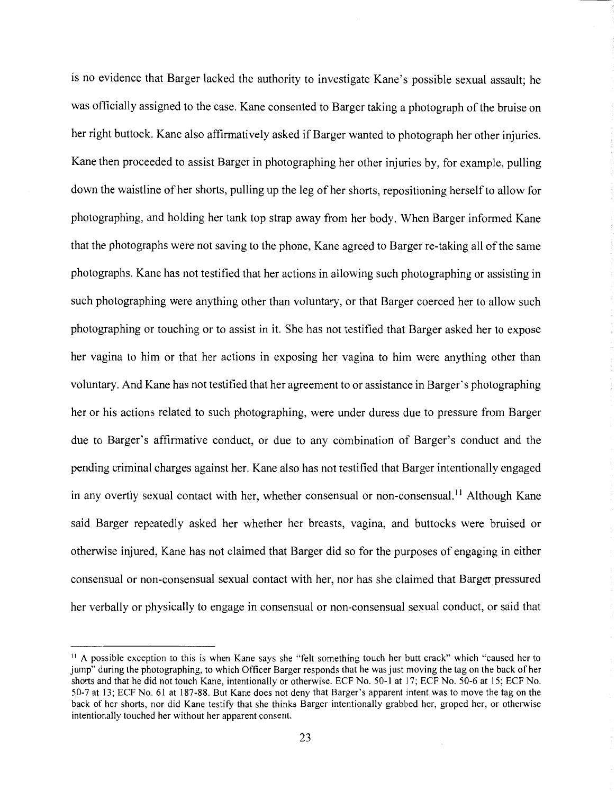is no evidence that Barger lacked the authority to investigate Kane's possible sexual assault; he was officially assigned to the case. Kane consented to Barger taking a photograph of the bruise on her right buttock. Kane also affirmatively asked if Barger wanted to photograph her other injuries. Kane then proceeded to assist Barger in photographing her other injuries by, for example, pulling down the waistline of her shorts, pulling up the leg of her shorts, repositioning herself to allow for photographing, and holding her tank top strap away from her body. When Barger informed Kane that the photographs were not saving to the phone, Kane agreed to Barger re-taking all of the same photographs. Kane has not testified that her actions in allowing such photographing or assisting in such photographing were anything other than voluntary, or that Barger coerced her to allow such photographing or touching or to assist in it. She has not testified that Barger asked her to expose her vagina to him or that her actions in exposing her vagina to him were anything other than voluntary. And Kane has not testified that her agreement to or assistance in Barger's photographing her or his actions related to such photographing, were under duress due to pressure from Barger due to Barger's affirmative conduct, or due to any combination of Barger's conduct and the pending criminal charges against her. Kane also has not testified that Barger intentionally engaged in any overtly sexual contact with her, whether consensual or non-consensual.<sup>11</sup> Although Kane said Barger repeatedly asked her whether her breasts, vagina, and buttocks were bruised or otherwise injured, Kane has not claimed that Barger did so for the purposes of engaging in either consensual or non-consensual sexual contact with her, nor has she claimed that Barger pressured her verbally or physically to engage in consensual or non-consensual sexual conduct, or said that

<sup>&</sup>lt;sup>11</sup> A possible exception to this is when Kane says she "felt something touch her butt crack" which "caused her to jump" during the photographing, to which Officer Barger responds that he was just moving the tag on the back of her shorts and that he did not touch Kane, intentionally or otherwise. ECF No. 50-1 at 17; ECF No. 50-6 at l 5; ECF No. 50-7 at 13; ECF No. 61 at 187-88. But Kane does not deny that Barger's apparent intent was to move the tag on the back of her shorts, nor did Kane testify that she thinks Barger intentionally grabbed her, groped her, or otherwise intentionally touched her without her apparent consent.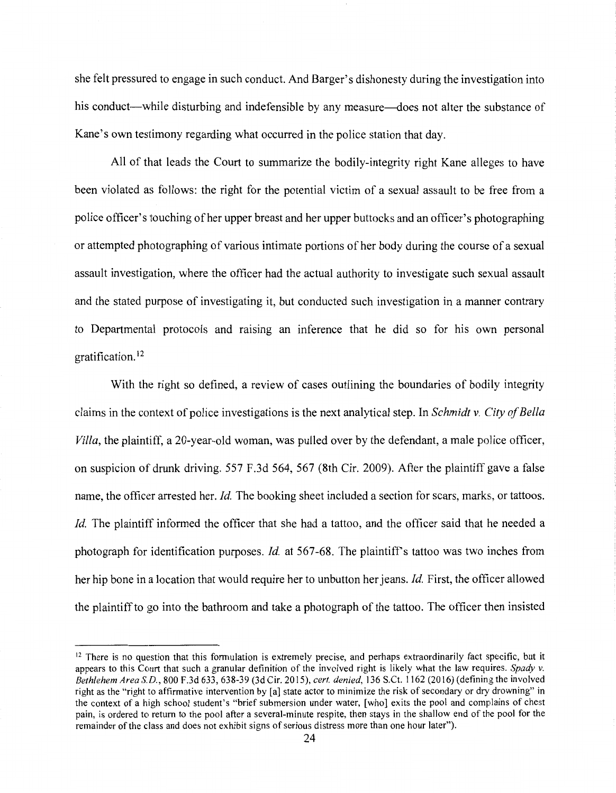she felt pressured to engage in such conduct. And Barger's dishonesty during the investigation into his conduct—while disturbing and indefensible by any measure—does not alter the substance of Kane's own testimony regarding what occurred in the police station that day.

All of that leads the Court to summarize the bodily-integrity right Kane alleges to have been violated as follows: the right for the potential victim of a sexual assault to be free from a police officer's touching of her upper breast and her upper buttocks and an officer's photographing or attempted photographing of various intimate portions of her body during the course of a sexual assault investigation, where the officer had the actual authority to investigate such sexual assault and the stated purpose of investigating it, but conducted such investigation in a manner contrary to Departmental protocols and raising an inference that he did so for his own personal gratification.<sup>12</sup>

With the right so defined, a review of cases outlining the boundaries of bodily integrity claims in the context of police investigations is the next analytical step. In *Schmidt v. City of Bella Villa,* the plaintiff, a 20-year-old woman, was pulled over by the defendant, a male police officer, on suspicion of drunk driving. 557 F.3d 564, 567 (8th Cir. 2009). After the plaintiff gave a false name, the officer arrested her. *Id.* The booking sheet included a section for scars, marks, or tattoos. *Id.* The plaintiff informed the officer that she had a tattoo, and the officer said that he needed a photograph for identification purposes. *Id.* at 567-68. The plaintiff's tattoo was two inches from her hip bone in a location that would require her to unbutton her jeans. *Id.* First, the officer allowed the plaintiff to go into the bathroom and take a photograph of the tattoo. The officer then insisted

 $12$  There is no question that this formulation is extremely precise, and perhaps extraordinarily fact specific, but it appears to this Court that such a granular definition of the involved right is likely what the law requires. *Spady v. Bethlehem Area S.D.,* 800 F.3d 633, 638-39 (3d Cir. 2015), *cert. denied,* 136 S.Ct. 1162 (2016) (defining the involved right as the "right to affirmative intervention by [a] state actor to minimize the risk of secondary or dry drowning" in the context of a high school student's "brief submersion under water, [who] exits the pool and complains of chest pain, is ordered to return to the pool after a several-minute respite, then stays in the shallow end of the pool for the remainder of the class and does not exhibit signs of serious distress more than one hour later").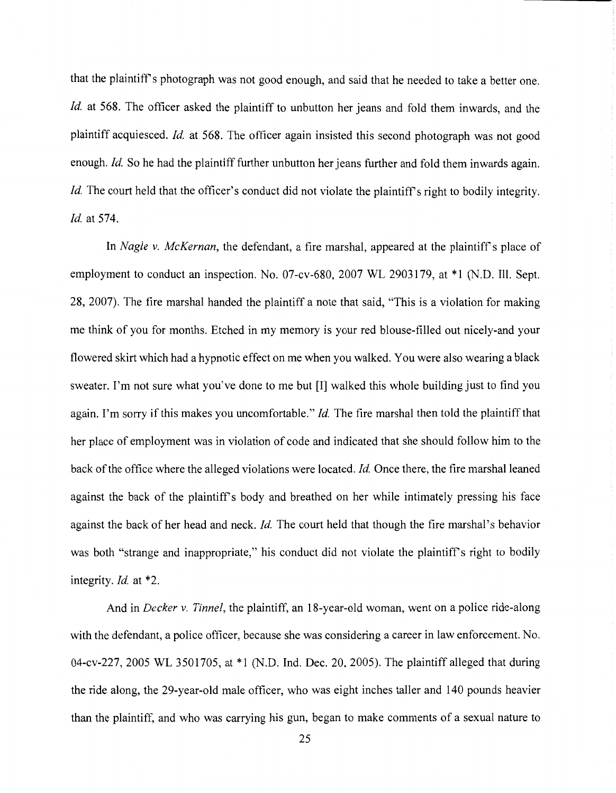that the plaintiff's photograph was not good enough, and said that he needed to take a better one. *Id.* at 568. The officer asked the plaintiff to unbutton her jeans and fold them inwards, and the plaintiff acquiesced. *Id.* at 568. The officer again insisted this second photograph was not good enough. *Id.* So he had the plaintiff further unbutton her jeans further and fold them inwards again. *Id.* The court held that the officer's conduct did not violate the plaintiff's right to bodily integrity. *Id.* at 574.

In *Nagle v. McKernan*, the defendant, a fire marshal, appeared at the plaintiff's place of employment to conduct an inspection. No. 07-cv-680, 2007 WL 2903179, at \*1 (N.D. Ill. Sept. 28, 2007). The fire marshal handed the plaintiff a note that said, "This is a violation for making me think of you for months. Etched in my memory is your red blouse-filled out nicely-and your flowered skirt which had a hypnotic effect on me when you walked. You were also wearing a black sweater. I'm not sure what you've done to me but [I] walked this whole building just to find you again. I'm sorry if this makes you uncomfortable." *Id.* The fire marshal then told the plaintiff that her place of employment was in violation of code and indicated that she should follow him to the back of the office where the alleged violations were located. *Id.* Once there, the fire marshal leaned against the back of the plaintiff's body and breathed on her while intimately pressing his face against the back of her head and neck. *Id.* The court held that though the fire marshal's behavior was both "strange and inappropriate," his conduct did not violate the plaintiff's right to bodily integrity. *Id.* at \*2.

And in *Decker v. Tinnel,* the plaintiff, an 18-year-old woman, went on a police ride-along with the defendant, a police officer, because she was considering a career in law enforcement. No. 04-cv-227, 2005 WL 3501705, at \*1 (N.D. Ind. Dec. 20, 2005). The plaintiff alleged that during the ride along, the 29-year-old male officer, who was eight inches taller and 140 pounds heavier than the plaintiff, and who was carrying his gun, began to make comments of a sexual nature to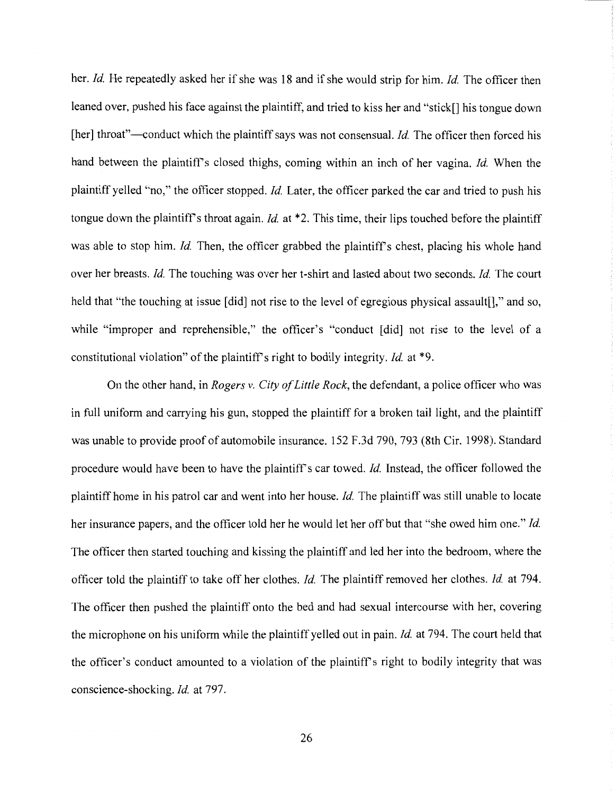her. *Id.* He repeatedly asked her if she was 18 and if she would strip for him. *Id.* The officer then leaned over, pushed his face against the plaintiff, and tried to kiss her and "stick[] his tongue down [her] throat"—conduct which the plaintiff says was not consensual. *Id.* The officer then forced his hand between the plaintiff's closed thighs, coming within an inch of her vagina. *Id.* When the plaintiff yelled "'no," the officer stopped. *Id.* Later, the officer parked the car and tried to push his tongue down the plaintiff's throat again. *Id.* at \*2. This time, their lips touched before the plaintiff was able to stop him. *Id.* Then, the officer grabbed the plaintiff's chest, placing his whole hand over her breasts. *Id.* The touching was over her t-shirt and lasted about two seconds. *Id.* The court held that "the touching at issue [did] not rise to the level of egregious physical assault []," and so, while "improper and reprehensible," the officer's "conduct [did] not rise to the level of a constitutional violation" of the plaintiff's right to bodily integrity. *Id.* at \*9.

On the other hand, in *Rogers v. City of Little Rock,* the defendant, a police officer who was in full uniform and carrying his gun, stopped the plaintiff for a broken tail light, and the plaintiff was unable to provide proof of automobile insurance. 152 F.3d 790, 793 (8th Cir. 1998). Standard procedure would have been to have the plaintiff's car towed. *Id.* Instead, the officer followed the plaintiff home in his patrol car and went into her house. *Id.* The plaintiff was still unable to locate her insurance papers, and the officer told her he would let her off but that "she owed him one." *Id.*  The officer then started touching and kissing the plaintiff and led her into the bedroom, where the officer told the plaintiff to take off her clothes. *Id.* The plaintiff removed her clothes. *Id.* at 794. The officer then pushed the plaintiff onto the bed and had sexual intercourse with her, covering the microphone on his uniform while the plaintiff yelled out in pain. *Id.* at 794. The court held that the officer's conduct amounted to a violation of the plaintiffs right to bodily integrity that was conscience-shocking. *Id.* at 797.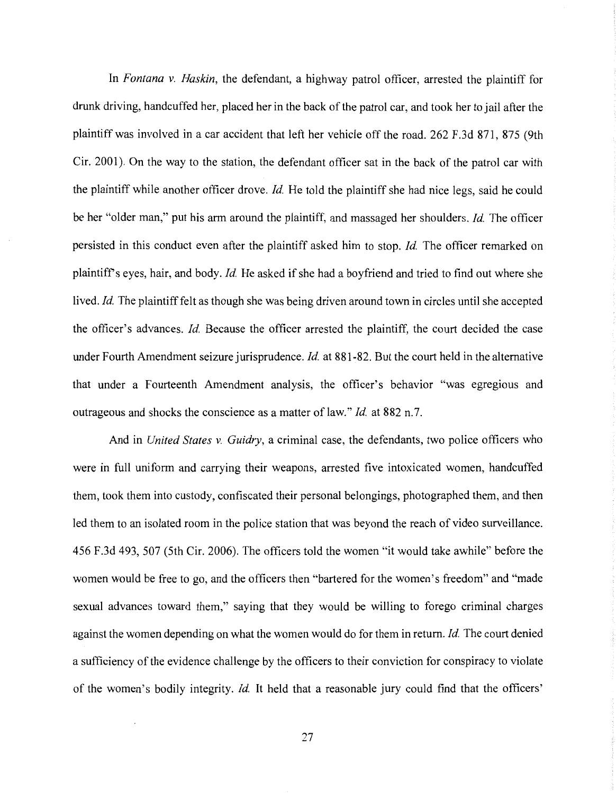In *Fontana v. Haskin,* the defendant, a highway patrol officer, arrested the plaintiff for drunk driving, handcuffed her, placed her in the back of the patrol car, and took her to jail after the plaintiff was involved in a car accident that left her vehicle off the road. 262 F.3d 871, 875 (9th Cir. 2001). On the way to the station, the defendant officer sat in the back of the patrol car with the plaintiff while another officer drove. *Id.* He told the plaintiff she had nice legs, said he could be her "older man," put his arm around the plaintiff, and massaged her shoulders. *Id.* The officer persisted in this conduct even after the plaintiff asked him to stop. *Id*. The officer remarked on plaintiffs eyes, hair, and body. *Id.* He asked if she had a boyfriend and tried to find out where she lived. *Id.* The plaintiff felt as though she was being driven around town in circles until she accepted the officer's advances. *Id.* Because the officer arrested the plaintiff, the court decided the case under Fourth Amendment seizure jurisprudence. *Id.* at 881-82. But the court held in the alternative that under a Fourteenth Amendment analysis, the officer's behavior "was egregious and outrageous and shocks the conscience as a matter of law." *Id.* at 882 n.7.

And in *United States v. Guidry,* a criminal case, the defendants, two police officers who were in full uniform and carrying their weapons, arrested five intoxicated women, handcuffed them, took them into custody, confiscated their personal belongings, photographed them, and then led them to an isolated room in the police station that was beyond the reach of video surveillance. 456 F.3d 493, 507 (5th Cir. 2006). The officers told the women "it would take awhile" before the women would be free to go, and the officers then "bartered for the women's freedom" and "made sexual advances toward them," saying that they would be willing to forego criminal charges against the women depending on what the women would do for them in return. *Id.* The court denied a sufficiency of the evidence challenge by the officers to their conviction for conspiracy to violate of the women's bodily integrity. *Id.* It held that a reasonable jury could find that the officers'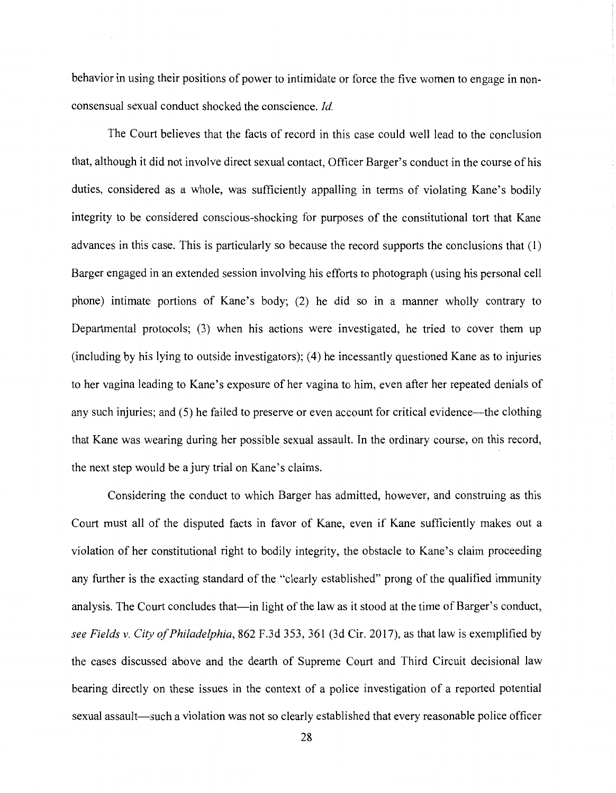behavior in using their positions of power to intimidate or force the five women to engage in nonconsensual sexual conduct shocked the conscience. *Id.* 

The Court believes that the facts of record in this case could well lead to the conclusion that, although it did not involve direct sexual contact, Officer Barger's conduct in the course of his duties, considered as a whole, was sufficiently appalling in terms of violating Kane's bodily integrity to be considered conscious-shocking for purposes of the constitutional tort that Kane advances in this case. This is particularly so because the record supports the conclusions that (1) Barger engaged in an extended session involving his efforts to photograph (using his personal cell phone) intimate portions of Kane's body; (2) he did so in a manner wholly contrary to Departmental protocols; (3) when his actions were investigated, he tried to cover them up (including by his lying to outside investigators); (4) he incessantly questioned Kane as to injuries to her vagina leading to Kane's exposure of her vagina to him, even after her repeated denials of any such injuries; and (5) he failed to preserve or even account for critical evidence-the clothing that Kane was wearing during her possible sexual assault. In the ordinary course, on this record, the next step would be a jury trial on Kane's claims.

Considering the conduct to which Barger has admitted, however, and construing as this Court must all of the disputed facts in favor of Kane, even if Kane sufficiently makes out a violation of her constitutional right to bodily integrity, the obstacle to Kane's claim proceeding any further is the exacting standard of the "clearly established" prong of the qualified immunity analysis. The Court concludes that—in light of the law as it stood at the time of Barger's conduct, *see Fields v. City of Philadelphia,* 862 F.3d 353, 361 (3d Cir. 2017), as that law is exemplified by the cases discussed above and the dearth of Supreme Court and Third Circuit decisional law bearing directly on these issues in the context of a police investigation of a reported potential sexual assault—such a violation was not so clearly established that every reasonable police officer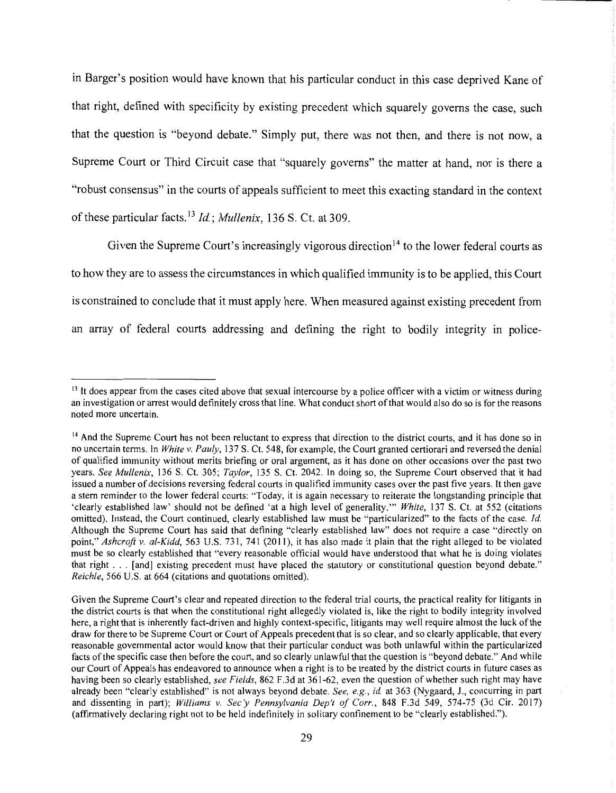in Barger's position would have known that his particular conduct in this case deprived Kane of that right, defined with specificity by existing precedent which squarely governs the case, such that the question is "beyond debate." Simply put, there was not then, and there is not now, a Supreme Court or Third Circuit case that "squarely governs" the matter at hand, nor is there a "robust consensus" in the courts of appeals sufficient to meet this exacting standard in the context of these particular facts. <sup>13</sup>*Id.; Mullenix,* 136 S. Ct. at 309.

Given the Supreme Court's increasingly vigorous direction<sup>14</sup> to the lower federal courts as to how they are to assess the circumstances in which qualified immunity is to be applied, this Court is constrained to conclude that it must apply here. When measured against existing precedent from an array of federal courts addressing and defining the right to bodily integrity in police-

<sup>&</sup>lt;sup>13</sup> It does appear from the cases cited above that sexual intercourse by a police officer with a victim or witness during an investigation or arrest would definitely cross that line. What conduct short of that would also do so is for the reasons noted more uncertain.

<sup>&</sup>lt;sup>14</sup> And the Supreme Court has not been reluctant to express that direction to the district courts, and it has done so in no uncertain terms. In *White v. Pauly,* 137 S. Ct. 548, for example, the Court granted certiorari and reversed the denial of qualified immunity without merits briefing or oral argument, as it has done on other occasions over the past two years. *See Mullenix,* 136 S. Ct. 305; *Taylor,* 135 S. Ct. 2042. In doing so, the Supreme Court observed that it had issued a number of decisions reversing federal courts in qualified immunity cases over the past five years. It then gave a stem reminder to the lower federal courts: "Today, it is again necessary to reiterate the longstanding principle that 'clearly established law' should not be defined 'at a high level of generality."' *White,* 137 S. Ct. at 552 (citations omitted). Instead, the Court continued, clearly established law must be "particularized" to the facts of the case. *Id.*  Although the Supreme Court has said that defining "clearly established law" does not require a case "directly on point," *Ashcroft v. al-Kidd,* 563 U.S. 731, 741 (2011 ), it has also made it plain that the right alleged to be violated must be so clearly established that "every reasonable official would have understood that what he is doing violates that right ... [and] existing precedent must have placed the statutory or constitutional question beyond debate." *Reichle,* 566 U.S. at 664 (citations and quotations omitted).

Given the Supreme Court's clear and repeated direction to the federal trial courts, the practical reality for litigants in the district courts is that when the constitutional right allegedly violated is, like the right to bodily integrity involved here, a right that is inherently fact-driven and highly context-specific, litigants may well require almost the luck of the draw for there to be Supreme Court or Court of Appeals precedent that is so clear, and so clearly applicable, that every reasonable governmental actor would know that their particular conduct was both unlawful within the particularized facts of the specific case then before the court, and so clearly unlawful that the question is "beyond debate." And while our Court of Appeals has endeavored to announce when a right is to be treated by the district courts in future cases as having been so clearly established, *see Fields,* 862 F.3d at 361-62, even the question of whether such right may have already been "clear'ly established" is not always beyond debate. *See, e.g., id.* at 363 (Nygaard, J., concurring in part and dissenting in part); *Williams v. Sec'y Pennsylvania Dep't of Corr.,* 848 F.3d 549, 574-75 (3d Cir. 2017) (affirmatively declaring right not to be held indefinitely in solitary confinement to be "clearly established.").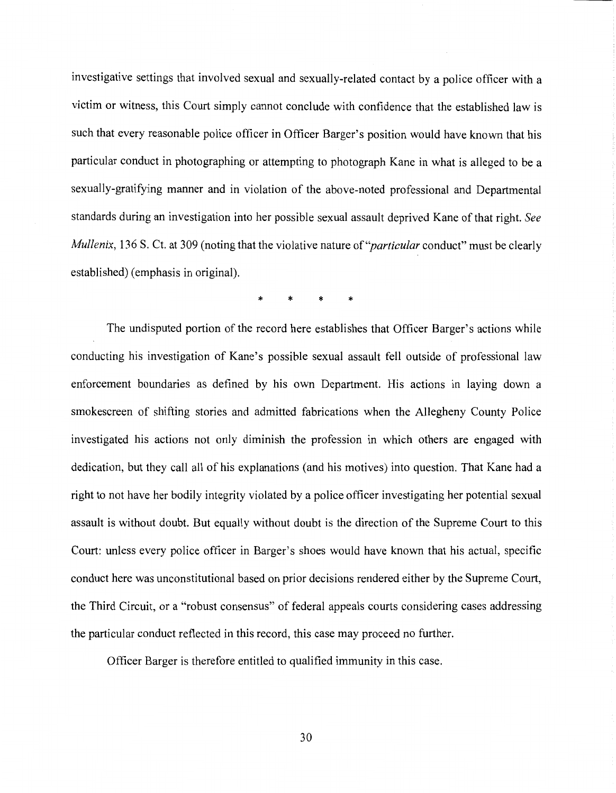investigative settings that involved sexual and sexually-related contact by a police officer with a victim or witness, this Court simply cannot conclude with confidence that the established law is such that every reasonable police officer in Officer Barger's position would have known that his particular conduct in photographing or attempting to photograph Kane in what is alleged to be a sexually-gratifying manner and in violation of the above-noted professional and Departmental standards during an investigation into her possible sexual assault deprived Kane of that right. *See Mullenix,* 136 S. Ct. at 309 (noting that the violative nature *of"particular* conduct" must be clearly established) (emphasis in original).

\* \* \* \*

The undisputed portion of the record here establishes that Officer Barger's actions while conducting his investigation of Kane's possible sexual assault fell outside of professional law enforcement boundaries as defined by his own Department. His actions in laying down a smokescreen of shifting stories and admitted fabrications when the Allegheny County Police investigated his actions not only diminish the profession in which others are engaged with dedication, but they call all of his explanations (and his motives) into question. That Kane had a right to not have her bodily integrity violated by a police officer investigating her potential sexual assault is without doubt. But equally without doubt is the direction of the Supreme Court to this Court: unless every police officer in Barger's shoes would have known that his actual, specific conduct here was unconstitutional based on prior decisions rendered either by the Supreme Court, the Third Circuit, or a "robust consensus" of federal appeals courts considering cases addressing the particular conduct reflected in this record, this case may proceed no further.

Officer Barger is therefore entitled to qualified immunity in this case.

30